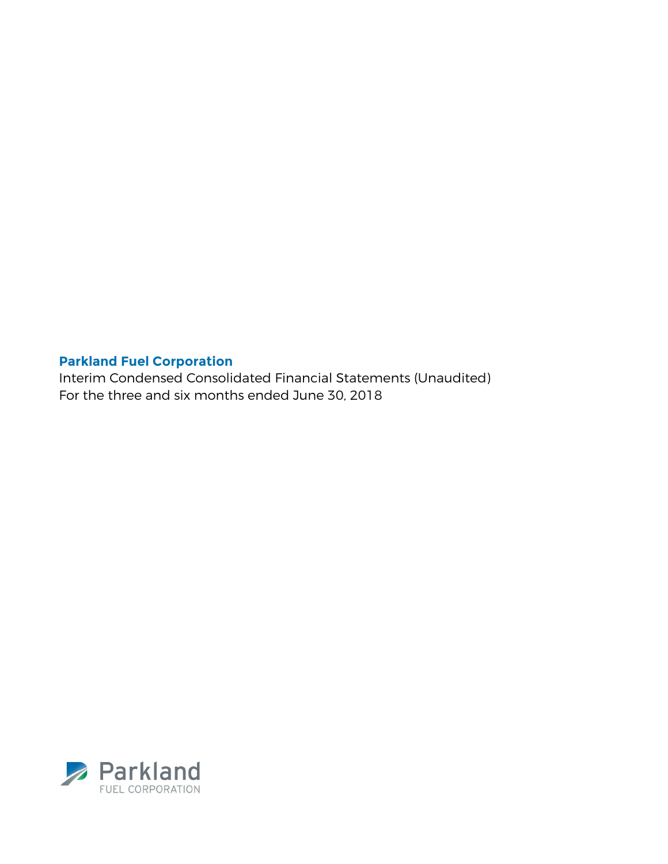Interim Condensed Consolidated Financial Statements (Unaudited) For the three and six months ended June 30, 2018

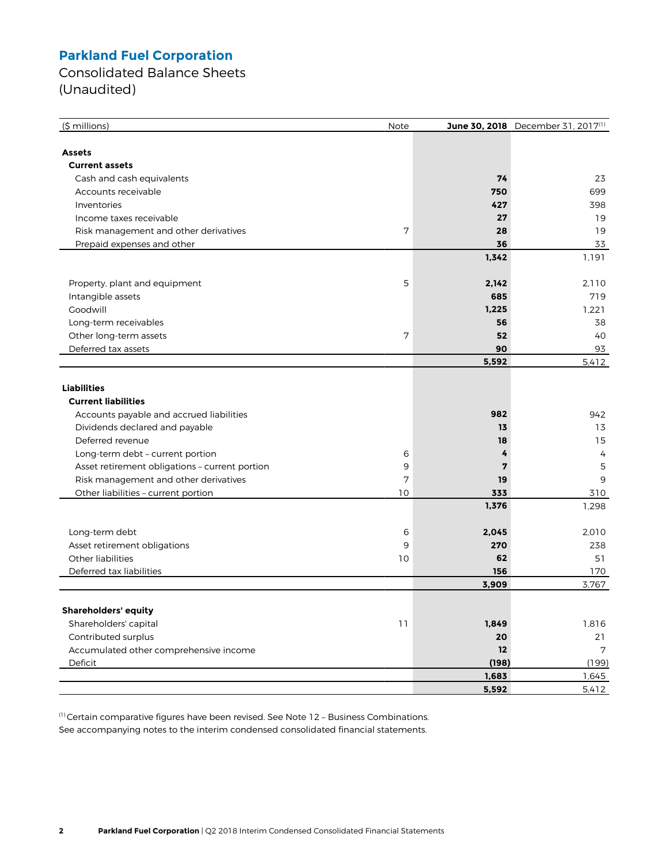Consolidated Balance Sheets (Unaudited)

| $(\frac{1}{2} millions)$                       | Note |       | June 30, 2018 December 31, 2017(1) |
|------------------------------------------------|------|-------|------------------------------------|
|                                                |      |       |                                    |
| Assets                                         |      |       |                                    |
| <b>Current assets</b>                          |      |       |                                    |
| Cash and cash equivalents                      |      | 74    | 23                                 |
| Accounts receivable                            |      | 750   | 699                                |
| Inventories                                    |      | 427   | 398                                |
| Income taxes receivable                        |      | 27    | 19                                 |
| Risk management and other derivatives          | 7    | 28    | 19                                 |
| Prepaid expenses and other                     |      | 36    | 33                                 |
|                                                |      | 1,342 | 1,191                              |
|                                                |      |       |                                    |
| Property, plant and equipment                  | 5    | 2,142 | 2.110                              |
| Intangible assets                              |      | 685   | 719                                |
| Goodwill                                       |      | 1,225 | 1,221                              |
| Long-term receivables                          |      | 56    | 38                                 |
| Other long-term assets                         | 7    | 52    | 40                                 |
| Deferred tax assets                            |      | 90    | 93                                 |
|                                                |      | 5,592 | 5,412                              |
|                                                |      |       |                                    |
| <b>Liabilities</b>                             |      |       |                                    |
| <b>Current liabilities</b>                     |      |       |                                    |
| Accounts payable and accrued liabilities       |      | 982   | 942                                |
| Dividends declared and payable                 |      | 13    | 13                                 |
| Deferred revenue                               |      | 18    | 15                                 |
| Long-term debt - current portion               | 6    | 4     | $\overline{4}$                     |
| Asset retirement obligations - current portion | 9    | 7     | 5                                  |
| Risk management and other derivatives          | 7    | 19    | 9                                  |
| Other liabilities - current portion            | 10   | 333   | 310                                |
|                                                |      | 1,376 | 1,298                              |
|                                                |      |       |                                    |
| Long-term debt                                 | 6    | 2,045 | 2,010                              |
| Asset retirement obligations                   | 9    | 270   | 238                                |
| <b>Other liabilities</b>                       | 10   | 62    | 51                                 |
| Deferred tax liabilities                       |      | 156   | 170                                |
|                                                |      | 3,909 | 3,767                              |
|                                                |      |       |                                    |
| <b>Shareholders' equity</b>                    |      |       |                                    |
| Shareholders' capital                          | 11   | 1,849 | 1,816                              |
| Contributed surplus                            |      | 20    | 21                                 |
| Accumulated other comprehensive income         |      | 12    | 7                                  |
| Deficit                                        |      | (198) | (199)                              |
|                                                |      | 1,683 | 1,645                              |
|                                                |      | 5,592 | 5,412                              |

(1) Certain comparative figures have been revised. See Note 12 – Business Combinations. See accompanying notes to the interim condensed consolidated financial statements.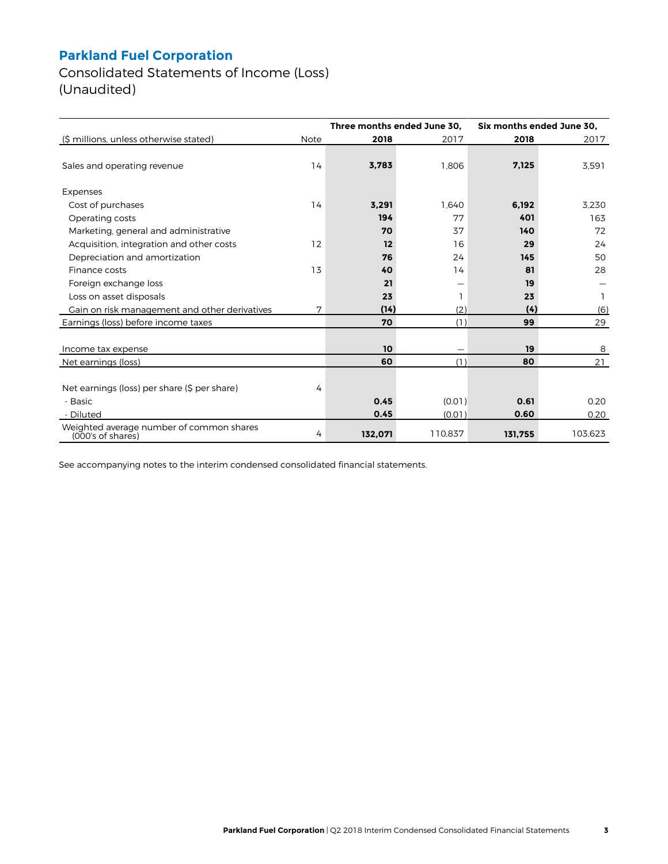Consolidated Statements of Income (Loss) (Unaudited)

|                                                               |      | Three months ended June 30. |         | Six months ended June 30, |         |  |
|---------------------------------------------------------------|------|-----------------------------|---------|---------------------------|---------|--|
| (\$ millions, unless otherwise stated)                        | Note | 2018                        | 2017    | 2018                      | 2017    |  |
| Sales and operating revenue                                   | 14   | 3,783                       | 1,806   | 7,125                     | 3,591   |  |
|                                                               |      |                             |         |                           |         |  |
| Expenses                                                      |      |                             |         |                           |         |  |
| Cost of purchases                                             | 14   | 3,291                       | 1.640   | 6,192                     | 3.230   |  |
| Operating costs                                               |      | 194                         | 77      | 401                       | 163     |  |
| Marketing, general and administrative                         |      | 70                          | 37      | 140                       | 72      |  |
| Acquisition, integration and other costs                      | 12   | 12                          | 16      | 29                        | 24      |  |
| Depreciation and amortization                                 |      | 76                          | 24      | 145                       | 50      |  |
| Finance costs                                                 | 13   | 40                          | 14      | 81                        | 28      |  |
| Foreign exchange loss                                         |      | 21                          | —       | 19                        |         |  |
| Loss on asset disposals                                       |      | 23                          |         | 23                        |         |  |
| Gain on risk management and other derivatives                 | 7    | (14)                        | (2)     | (4)                       | (6)     |  |
| Earnings (loss) before income taxes                           |      | 70                          | (1)     | 99                        | 29      |  |
|                                                               |      |                             |         |                           |         |  |
| Income tax expense                                            |      | 10                          |         | 19                        | 8       |  |
| Net earnings (loss)                                           |      | 60                          | (1)     | 80                        | 21      |  |
|                                                               |      |                             |         |                           |         |  |
| Net earnings (loss) per share (\$ per share)                  | 4    |                             |         |                           |         |  |
| - Basic                                                       |      | 0.45                        | (0.01)  | 0.61                      | 0.20    |  |
| - Diluted                                                     |      | 0.45                        | (0.01)  | 0.60                      | 0.20    |  |
| Weighted average number of common shares<br>(000's of shares) | 4    | 132,071                     | 110,837 | 131,755                   | 103,623 |  |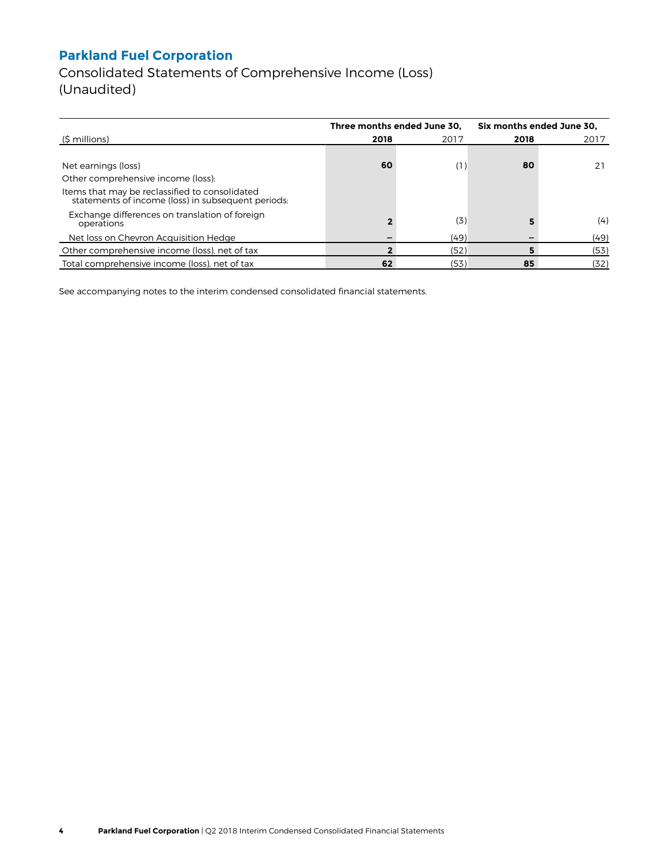Consolidated Statements of Comprehensive Income (Loss) (Unaudited)

|                                                                                                      |      | Three months ended June 30. | Six months ended June 30, |      |  |
|------------------------------------------------------------------------------------------------------|------|-----------------------------|---------------------------|------|--|
| (\$ millions)                                                                                        | 2018 | 2017                        | 2018                      | 2017 |  |
|                                                                                                      |      |                             |                           |      |  |
| Net earnings (loss)                                                                                  | 60   | (1)                         | 80                        |      |  |
| Other comprehensive income (loss):                                                                   |      |                             |                           |      |  |
| Items that may be reclassified to consolidated<br>statements of income (loss) in subsequent periods: |      |                             |                           |      |  |
| Exchange differences on translation of foreign<br>operations                                         |      | (3)                         |                           | (4)  |  |
| Net loss on Chevron Acquisition Hedge                                                                |      | (49)                        |                           | (49) |  |
| Other comprehensive income (loss), net of tax                                                        |      | (52)                        |                           | (53) |  |
| Total comprehensive income (loss), net of tax                                                        | 62   | (53)                        | 85                        | (32) |  |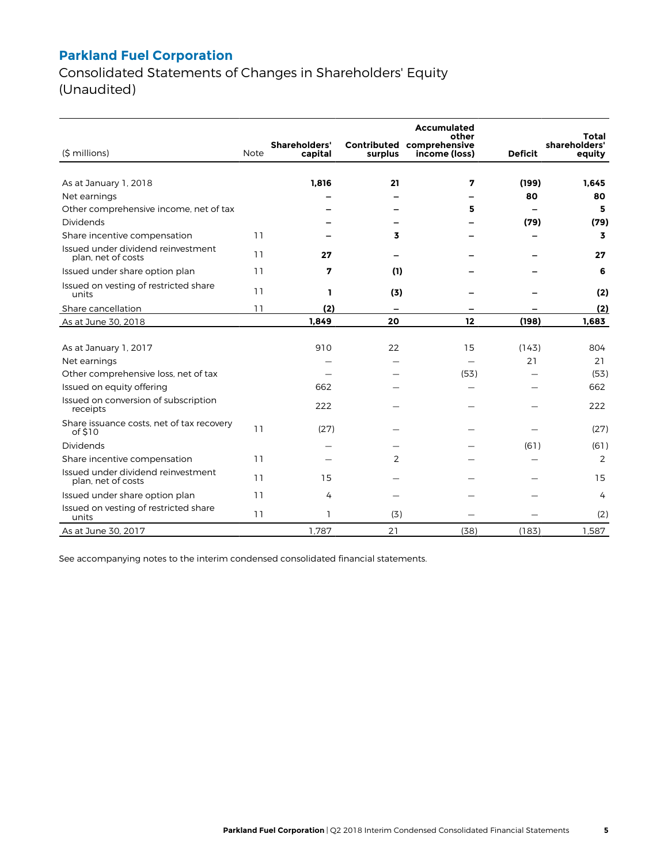Consolidated Statements of Changes in Shareholders' Equity (Unaudited)

|                                                          |             |                          |                | <b>Accumulated</b><br>other                |                | Total                   |
|----------------------------------------------------------|-------------|--------------------------|----------------|--------------------------------------------|----------------|-------------------------|
| (\$ millions)                                            | <b>Note</b> | Shareholders'<br>capital | surplus        | Contributed comprehensive<br>income (loss) | <b>Deficit</b> | shareholders'<br>equity |
|                                                          |             |                          |                |                                            |                |                         |
| As at January 1, 2018                                    |             | 1,816                    | 21             | 7                                          | (199)          | 1.645                   |
| Net earnings                                             |             |                          |                |                                            | 80             | 80                      |
| Other comprehensive income, net of tax                   |             |                          |                | 5                                          |                | 5                       |
| Dividends                                                |             |                          |                |                                            | (79)           | (79)                    |
| Share incentive compensation                             | 11          |                          | 3              |                                            |                | 3                       |
| Issued under dividend reinvestment<br>plan, net of costs | 11          | 27                       |                |                                            |                | 27                      |
| Issued under share option plan                           | 11          | 7                        | (1)            |                                            |                | 6                       |
| Issued on vesting of restricted share<br>units           | 11          | ı                        | (3)            |                                            |                | (2)                     |
| Share cancellation                                       | 11          | (2)                      |                |                                            |                | (2)                     |
| As at June 30, 2018                                      |             | 1.849                    | 20             | 12                                         | (198)          | 1.683                   |
|                                                          |             |                          |                |                                            |                |                         |
| As at January 1, 2017                                    |             | 910                      | 22             | 15                                         | (143)          | 804                     |
| Net earnings                                             |             |                          |                |                                            | 21             | 21                      |
| Other comprehensive loss, net of tax                     |             |                          |                | (53)                                       |                | (53)                    |
| Issued on equity offering                                |             | 662                      |                |                                            |                | 662                     |
| Issued on conversion of subscription<br>receipts         |             | 222                      |                |                                            |                | 222                     |
| Share issuance costs, net of tax recovery<br>of \$10     | 11          | (27)                     |                |                                            |                | (27)                    |
| Dividends                                                |             |                          |                |                                            | (61)           | (61)                    |
| Share incentive compensation                             | 11          |                          | $\overline{2}$ |                                            |                | 2                       |
| Issued under dividend reinvestment<br>plan, net of costs | 11          | 15                       |                |                                            |                | 15                      |
| Issued under share option plan                           | 11          | 4                        |                |                                            |                | 4                       |
| Issued on vesting of restricted share<br>units           | 11          | 1                        | (3)            |                                            |                | (2)                     |
| As at June 30, 2017                                      |             | 1.787                    | 21             | (38)                                       | (183)          | 1.587                   |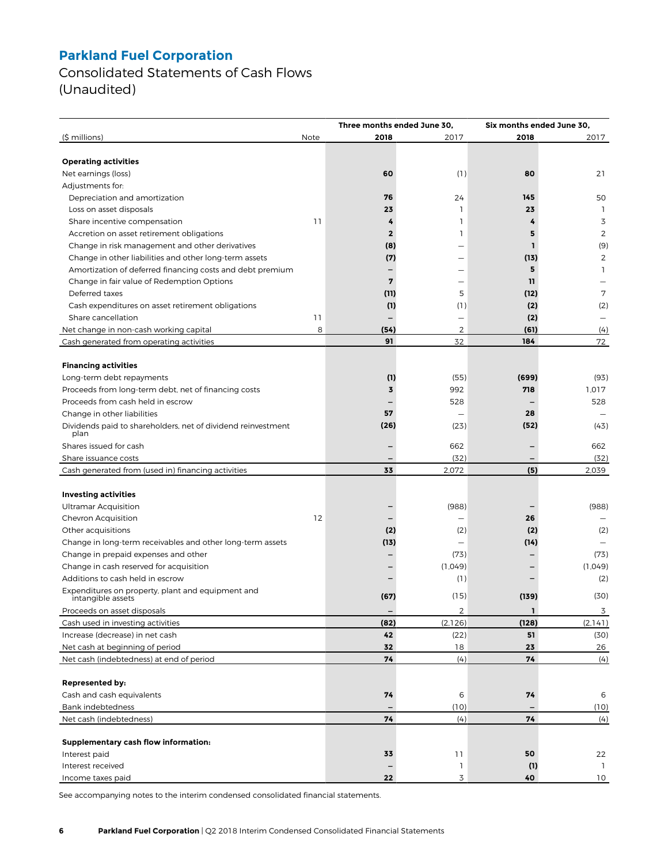Consolidated Statements of Cash Flows (Unaudited)

|                                                              |      | Three months ended June 30, |                   |       | Six months ended June 30, |  |  |
|--------------------------------------------------------------|------|-----------------------------|-------------------|-------|---------------------------|--|--|
| (\$ millions)                                                | Note | 2018                        | 2017              | 2018  | 2017                      |  |  |
|                                                              |      |                             |                   |       |                           |  |  |
| <b>Operating activities</b>                                  |      |                             |                   |       |                           |  |  |
| Net earnings (loss)                                          |      | 60                          | (1)               | 80    | 21                        |  |  |
| Adjustments for:                                             |      |                             |                   |       |                           |  |  |
| Depreciation and amortization                                |      | 76                          | 24                | 145   | 50                        |  |  |
| Loss on asset disposals                                      |      | 23                          | 1                 | 23    | $\mathbf{1}$              |  |  |
| Share incentive compensation                                 | 11   | 4                           | 1                 | 4     | 3                         |  |  |
| Accretion on asset retirement obligations                    |      | $\mathbf 2$                 | 1                 | 5     | 2                         |  |  |
| Change in risk management and other derivatives              |      | (8)                         |                   | 1     | (9)                       |  |  |
| Change in other liabilities and other long-term assets       |      | (7)                         |                   | (13)  | $\overline{2}$            |  |  |
| Amortization of deferred financing costs and debt premium    |      |                             |                   | 5     | 1                         |  |  |
| Change in fair value of Redemption Options                   |      | 7                           |                   | 11    |                           |  |  |
| Deferred taxes                                               |      | (11)                        | 5                 | (12)  | 7                         |  |  |
| Cash expenditures on asset retirement obligations            |      | (1)                         | (1)               | (2)   | (2)                       |  |  |
| Share cancellation                                           | 11   | $\overline{\phantom{0}}$    | $\qquad \qquad -$ | (2)   | $\overline{\phantom{0}}$  |  |  |
| Net change in non-cash working capital                       | 8    | (54)                        | $\overline{2}$    | (61)  | (4)                       |  |  |
| Cash generated from operating activities                     |      | 91                          | 32                | 184   | 72                        |  |  |
|                                                              |      |                             |                   |       |                           |  |  |
| <b>Financing activities</b>                                  |      |                             |                   |       |                           |  |  |
| Long-term debt repayments                                    |      | (1)                         | (55)              | (699) | (93)                      |  |  |
| Proceeds from long-term debt, net of financing costs         |      | 3                           | 992               | 718   | 1,017                     |  |  |
| Proceeds from cash held in escrow                            |      |                             | 528               |       | 528                       |  |  |
| Change in other liabilities                                  |      | 57                          |                   | 28    |                           |  |  |
| Dividends paid to shareholders, net of dividend reinvestment |      | (26)                        | (23)              | (52)  | (43)                      |  |  |
| plan<br>Shares issued for cash                               |      |                             | 662               |       | 662                       |  |  |
| Share issuance costs                                         |      |                             | (32)              |       | (32)                      |  |  |
| Cash generated from (used in) financing activities           |      | 33                          | 2,072             | (5)   | 2,039                     |  |  |
|                                                              |      |                             |                   |       |                           |  |  |
| <b>Investing activities</b>                                  |      |                             |                   |       |                           |  |  |
| <b>Ultramar Acquisition</b>                                  |      |                             | (988)             |       | (988)                     |  |  |
| Chevron Acquisition                                          | 12   |                             |                   | 26    |                           |  |  |
| Other acquisitions                                           |      | (2)                         | (2)               | (2)   | (2)                       |  |  |
| Change in long-term receivables and other long-term assets   |      | (13)                        |                   | (14)  |                           |  |  |
| Change in prepaid expenses and other                         |      |                             | (73)              |       | (73)                      |  |  |
| Change in cash reserved for acquisition                      |      |                             | (1,049)           |       | (1.049)                   |  |  |
| Additions to cash held in escrow                             |      |                             | (1)               |       | (2)                       |  |  |
| Expenditures on property, plant and equipment and            |      |                             |                   |       |                           |  |  |
| intangible assets                                            |      | (67)                        | (15)              | (139) | (30)                      |  |  |
| Proceeds on asset disposals                                  |      |                             | 2                 | Т.    | 3                         |  |  |
| Cash used in investing activities                            |      | (82)                        | (2,126)           | (128) | (2, 141)                  |  |  |
| Increase (decrease) in net cash                              |      | 42                          | (22)              | 51    | (30)                      |  |  |
| Net cash at beginning of period                              |      | 32                          | 18                | 23    | 26                        |  |  |
| Net cash (indebtedness) at end of period                     |      | 74                          | (4)               | 74    | (4)                       |  |  |
|                                                              |      |                             |                   |       |                           |  |  |
| <b>Represented by:</b>                                       |      |                             |                   |       |                           |  |  |
| Cash and cash equivalents                                    |      | 74                          | 6                 | 74    | 6                         |  |  |
| Bank indebtedness                                            |      |                             | (10)              |       | (10)                      |  |  |
| Net cash (indebtedness)                                      |      | 74                          | (4)               | 74    | (4)                       |  |  |
|                                                              |      |                             |                   |       |                           |  |  |
| Supplementary cash flow information:                         |      |                             |                   |       |                           |  |  |
| Interest paid                                                |      | 33                          | 11                | 50    | 22                        |  |  |
| Interest received                                            |      |                             | 1                 | (1)   | -1                        |  |  |
| Income taxes paid                                            |      | 22                          | 3                 | 40    | 10                        |  |  |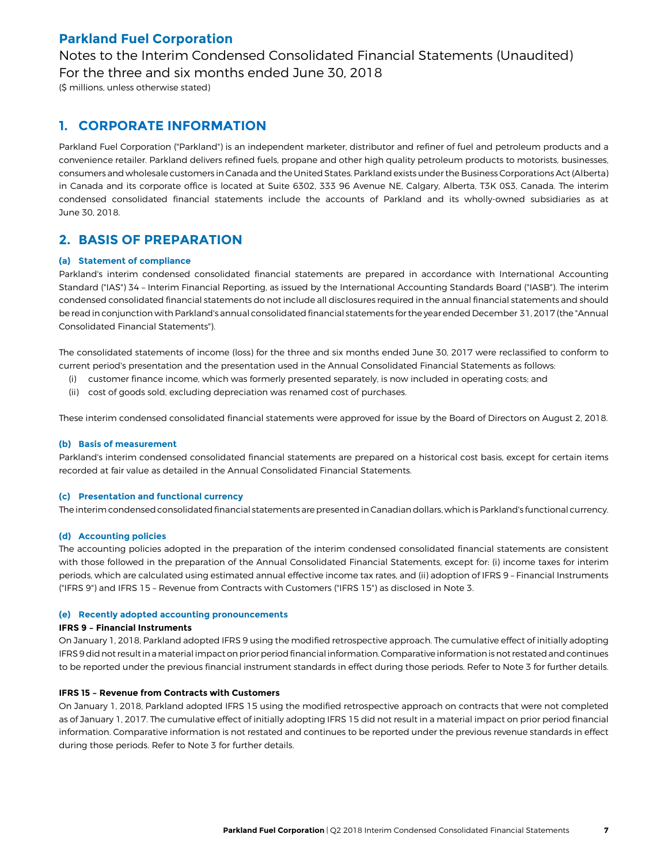Notes to the Interim Condensed Consolidated Financial Statements (Unaudited) For the three and six months ended June 30, 2018

(\$ millions, unless otherwise stated)

### **1. CORPORATE INFORMATION**

Parkland Fuel Corporation ("Parkland") is an independent marketer, distributor and refiner of fuel and petroleum products and a convenience retailer. Parkland delivers refined fuels, propane and other high quality petroleum products to motorists, businesses, consumers and wholesale customers in Canada and the United States. Parkland exists under the Business Corporations Act (Alberta) in Canada and its corporate office is located at Suite 6302, 333 96 Avenue NE, Calgary, Alberta, T3K 0S3, Canada. The interim condensed consolidated financial statements include the accounts of Parkland and its wholly-owned subsidiaries as at June 30, 2018.

### **2. BASIS OF PREPARATION**

### **(a) Statement of compliance**

Parkland's interim condensed consolidated financial statements are prepared in accordance with International Accounting Standard ("IAS") 34 – Interim Financial Reporting, as issued by the International Accounting Standards Board ("IASB"). The interim condensed consolidated financial statements do not include all disclosures required in the annual financial statements and should be read in conjunction with Parkland's annual consolidated financial statements for the year ended December 31, 2017 (the "Annual Consolidated Financial Statements").

The consolidated statements of income (loss) for the three and six months ended June 30, 2017 were reclassified to conform to current period's presentation and the presentation used in the Annual Consolidated Financial Statements as follows:

- (i) customer finance income, which was formerly presented separately, is now included in operating costs; and
- (ii) cost of goods sold, excluding depreciation was renamed cost of purchases.

These interim condensed consolidated financial statements were approved for issue by the Board of Directors on August 2, 2018.

### **(b) Basis of measurement**

Parkland's interim condensed consolidated financial statements are prepared on a historical cost basis, except for certain items recorded at fair value as detailed in the Annual Consolidated Financial Statements.

#### **(c) Presentation and functional currency**

The interim condensed consolidated financial statements are presented in Canadian dollars, which is Parkland's functional currency.

### **(d) Accounting policies**

The accounting policies adopted in the preparation of the interim condensed consolidated financial statements are consistent with those followed in the preparation of the Annual Consolidated Financial Statements, except for: (i) income taxes for interim periods, which are calculated using estimated annual effective income tax rates, and (ii) adoption of IFRS 9 – Financial Instruments ("IFRS 9") and IFRS 15 – Revenue from Contracts with Customers ("IFRS 15") as disclosed in Note 3.

#### **(e) Recently adopted accounting pronouncements**

#### **IFRS 9 – Financial Instruments**

On January 1, 2018, Parkland adopted IFRS 9 using the modified retrospective approach. The cumulative effect of initially adopting IFRS 9 did not result in a material impact on prior period financial information. Comparative information is not restated and continues to be reported under the previous financial instrument standards in effect during those periods. Refer to Note 3 for further details.

#### **IFRS 15 – Revenue from Contracts with Customers**

On January 1, 2018, Parkland adopted IFRS 15 using the modified retrospective approach on contracts that were not completed as of January 1, 2017. The cumulative effect of initially adopting IFRS 15 did not result in a material impact on prior period financial information. Comparative information is not restated and continues to be reported under the previous revenue standards in effect during those periods. Refer to Note 3 for further details.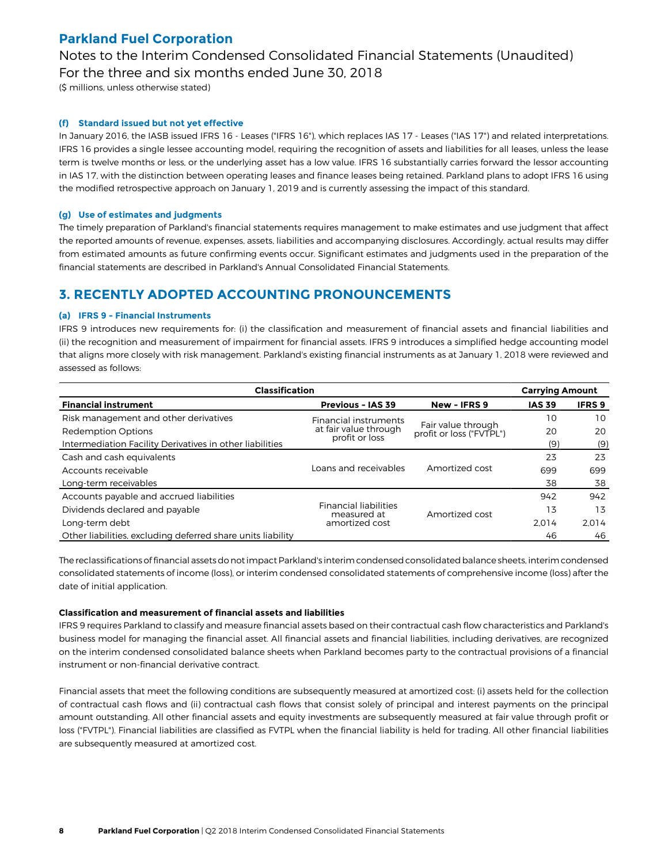Notes to the Interim Condensed Consolidated Financial Statements (Unaudited) For the three and six months ended June 30, 2018

(\$ millions, unless otherwise stated)

#### **(f) Standard issued but not yet effective**

In January 2016, the IASB issued IFRS 16 - Leases ("IFRS 16"), which replaces IAS 17 - Leases ("IAS 17") and related interpretations. IFRS 16 provides a single lessee accounting model, requiring the recognition of assets and liabilities for all leases, unless the lease term is twelve months or less, or the underlying asset has a low value. IFRS 16 substantially carries forward the lessor accounting in IAS 17, with the distinction between operating leases and finance leases being retained. Parkland plans to adopt IFRS 16 using the modified retrospective approach on January 1, 2019 and is currently assessing the impact of this standard.

#### **(g) Use of estimates and judgments**

The timely preparation of Parkland's financial statements requires management to make estimates and use judgment that affect the reported amounts of revenue, expenses, assets, liabilities and accompanying disclosures. Accordingly, actual results may differ from estimated amounts as future confirming events occur. Significant estimates and judgments used in the preparation of the financial statements are described in Parkland's Annual Consolidated Financial Statements.

### **3. RECENTLY ADOPTED ACCOUNTING PRONOUNCEMENTS**

#### **(a) IFRS 9 - Financial Instruments**

IFRS 9 introduces new requirements for: (i) the classification and measurement of financial assets and financial liabilities and (ii) the recognition and measurement of impairment for financial assets. IFRS 9 introduces a simplified hedge accounting model that aligns more closely with risk management. Parkland's existing financial instruments as at January 1, 2018 were reviewed and assessed as follows:

| <b>Classification</b>                                       | <b>Carrying Amount</b>                      |                                                |               |               |
|-------------------------------------------------------------|---------------------------------------------|------------------------------------------------|---------------|---------------|
| <b>Financial instrument</b>                                 | <b>Previous - IAS 39</b>                    | New - IFRS 9                                   | <b>IAS 39</b> | <b>IFRS 9</b> |
| Risk management and other derivatives                       | Financial instruments                       |                                                | 10            | 10            |
| <b>Redemption Options</b>                                   | at fair value through                       | Fair value through<br>profit or loss ("FVTPL") | 20            | 20            |
| Intermediation Facility Derivatives in other liabilities    | profit or loss                              |                                                | (9)           | (9)           |
| Cash and cash equivalents                                   |                                             |                                                | 23            | 23            |
| Accounts receivable                                         | Loans and receivables                       | Amortized cost                                 | 699           | 699           |
| Long-term receivables                                       |                                             |                                                | 38            | 38            |
| Accounts payable and accrued liabilities                    |                                             |                                                | 942           | 942           |
| Dividends declared and payable                              | <b>Financial liabilities</b><br>measured at | Amortized cost                                 | 13            | 13            |
| Long-term debt                                              | amortized cost                              |                                                | 2.014         | 2.014         |
| Other liabilities, excluding deferred share units liability |                                             |                                                | 46            | 46            |

The reclassifications of financial assets do not impact Parkland's interim condensed consolidated balance sheets, interim condensed consolidated statements of income (loss), or interim condensed consolidated statements of comprehensive income (loss) after the date of initial application.

#### **Classification and measurement of financial assets and liabilities**

IFRS 9 requires Parkland to classify and measure financial assets based on their contractual cash flow characteristics and Parkland's business model for managing the financial asset. All financial assets and financial liabilities, including derivatives, are recognized on the interim condensed consolidated balance sheets when Parkland becomes party to the contractual provisions of a financial instrument or non-financial derivative contract.

Financial assets that meet the following conditions are subsequently measured at amortized cost: (i) assets held for the collection of contractual cash flows and (ii) contractual cash flows that consist solely of principal and interest payments on the principal amount outstanding. All other financial assets and equity investments are subsequently measured at fair value through profit or loss ("FVTPL"). Financial liabilities are classified as FVTPL when the financial liability is held for trading. All other financial liabilities are subsequently measured at amortized cost.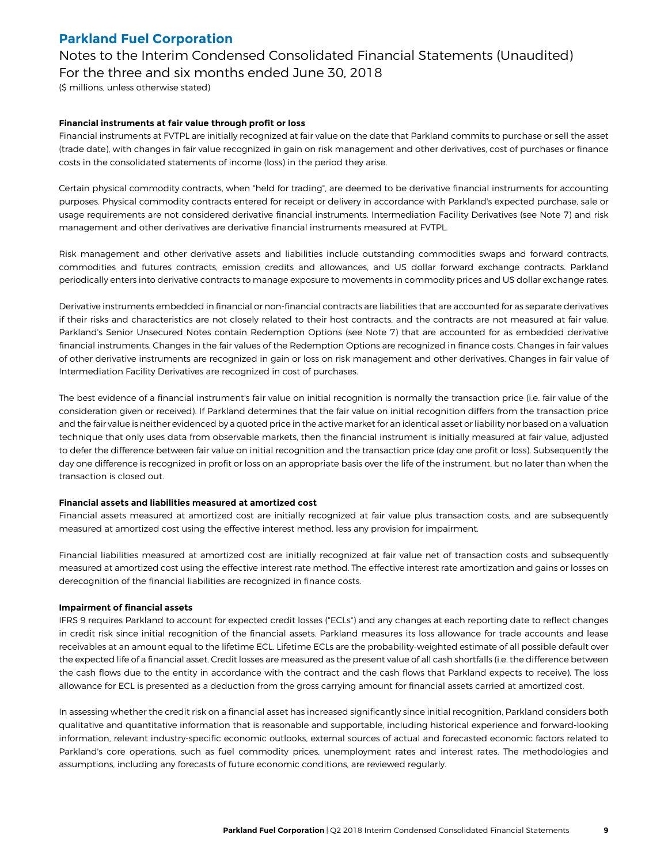Notes to the Interim Condensed Consolidated Financial Statements (Unaudited) For the three and six months ended June 30, 2018

(\$ millions, unless otherwise stated)

### **Financial instruments at fair value through profit or loss**

Financial instruments at FVTPL are initially recognized at fair value on the date that Parkland commits to purchase or sell the asset (trade date), with changes in fair value recognized in gain on risk management and other derivatives, cost of purchases or finance costs in the consolidated statements of income (loss) in the period they arise.

Certain physical commodity contracts, when "held for trading", are deemed to be derivative financial instruments for accounting purposes. Physical commodity contracts entered for receipt or delivery in accordance with Parkland's expected purchase, sale or usage requirements are not considered derivative financial instruments. Intermediation Facility Derivatives (see Note 7) and risk management and other derivatives are derivative financial instruments measured at FVTPL.

Risk management and other derivative assets and liabilities include outstanding commodities swaps and forward contracts, commodities and futures contracts, emission credits and allowances, and US dollar forward exchange contracts. Parkland periodically enters into derivative contracts to manage exposure to movements in commodity prices and US dollar exchange rates.

Derivative instruments embedded in financial or non-financial contracts are liabilities that are accounted for as separate derivatives if their risks and characteristics are not closely related to their host contracts, and the contracts are not measured at fair value. Parkland's Senior Unsecured Notes contain Redemption Options (see Note 7) that are accounted for as embedded derivative financial instruments. Changes in the fair values of the Redemption Options are recognized in finance costs. Changes in fair values of other derivative instruments are recognized in gain or loss on risk management and other derivatives. Changes in fair value of Intermediation Facility Derivatives are recognized in cost of purchases.

The best evidence of a financial instrument's fair value on initial recognition is normally the transaction price (i.e. fair value of the consideration given or received). If Parkland determines that the fair value on initial recognition differs from the transaction price and the fair value is neither evidenced by a quoted price in the active market for an identical asset or liability nor based on a valuation technique that only uses data from observable markets, then the financial instrument is initially measured at fair value, adjusted to defer the difference between fair value on initial recognition and the transaction price (day one profit or loss). Subsequently the day one difference is recognized in profit or loss on an appropriate basis over the life of the instrument, but no later than when the transaction is closed out.

#### **Financial assets and liabilities measured at amortized cost**

Financial assets measured at amortized cost are initially recognized at fair value plus transaction costs, and are subsequently measured at amortized cost using the effective interest method, less any provision for impairment.

Financial liabilities measured at amortized cost are initially recognized at fair value net of transaction costs and subsequently measured at amortized cost using the effective interest rate method. The effective interest rate amortization and gains or losses on derecognition of the financial liabilities are recognized in finance costs.

#### **Impairment of financial assets**

IFRS 9 requires Parkland to account for expected credit losses ("ECLs") and any changes at each reporting date to reflect changes in credit risk since initial recognition of the financial assets. Parkland measures its loss allowance for trade accounts and lease receivables at an amount equal to the lifetime ECL. Lifetime ECLs are the probability-weighted estimate of all possible default over the expected life of a financial asset. Credit losses are measured as the present value of all cash shortfalls (i.e. the difference between the cash flows due to the entity in accordance with the contract and the cash flows that Parkland expects to receive). The loss allowance for ECL is presented as a deduction from the gross carrying amount for financial assets carried at amortized cost.

In assessing whether the credit risk on a financial asset has increased significantly since initial recognition, Parkland considers both qualitative and quantitative information that is reasonable and supportable, including historical experience and forward-looking information, relevant industry-specific economic outlooks, external sources of actual and forecasted economic factors related to Parkland's core operations, such as fuel commodity prices, unemployment rates and interest rates. The methodologies and assumptions, including any forecasts of future economic conditions, are reviewed regularly.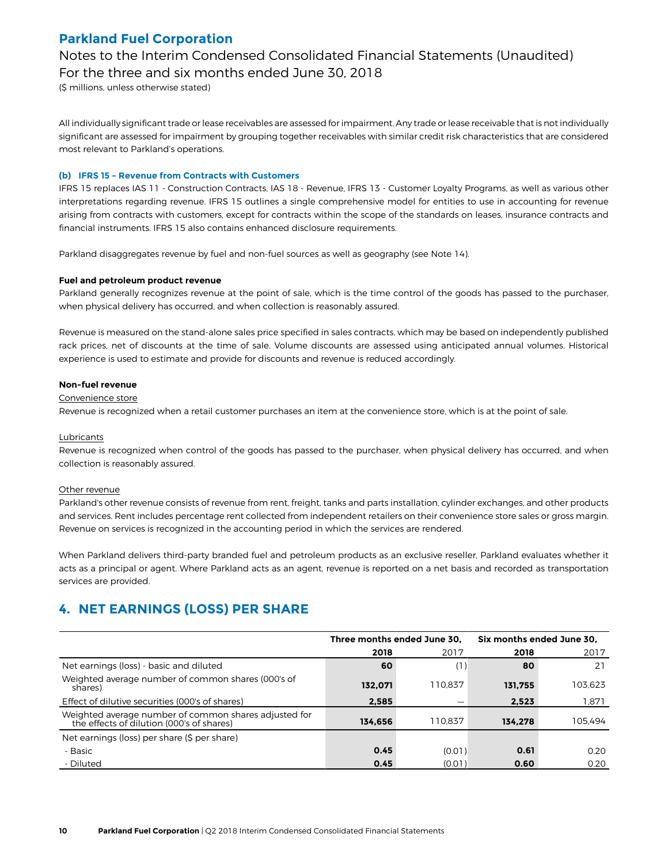Notes to the Interim Condensed Consolidated Financial Statements (Unaudited) For the three and six months ended June 30, 2018

(\$ millions, unless otherwise stated)

All individually significant trade or lease receivables are assessed for impairment. Any trade or lease receivable that is not individually significant are assessed for impairment by grouping together receivables with similar credit risk characteristics that are considered most relevant to Parkland's operations.

### **(b) IFRS 15 - Revenue from Contracts with Customers**

IFRS 15 replaces IAS 11 - Construction Contracts, IAS 18 - Revenue, IFRS 13 - Customer Loyalty Programs, as well as various other interpretations regarding revenue. IFRS 15 outlines a single comprehensive model for entities to use in accounting for revenue arising from contracts with customers, except for contracts within the scope of the standards on leases, insurance contracts and financial instruments. IFRS 15 also contains enhanced disclosure requirements.

Parkland disaggregates revenue by fuel and non-fuel sources as well as geography (see Note 14).

#### **Fuel and petroleum product revenue**

Parkland generally recognizes revenue at the point of sale, which is the time control of the goods has passed to the purchaser, when physical delivery has occurred, and when collection is reasonably assured.

Revenue is measured on the stand-alone sales price specified in sales contracts, which may be based on independently published rack prices, net of discounts at the time of sale. Volume discounts are assessed using anticipated annual volumes. Historical experience is used to estimate and provide for discounts and revenue is reduced accordingly.

#### **Non-fuel revenue**

### Convenience store

Revenue is recognized when a retail customer purchases an item at the convenience store, which is at the point of sale.

#### Lubricants

Revenue is recognized when control of the goods has passed to the purchaser, when physical delivery has occurred, and when collection is reasonably assured.

#### Other revenue

Parkland's other revenue consists of revenue from rent, freight, tanks and parts installation, cylinder exchanges, and other products and services. Rent includes percentage rent collected from independent retailers on their convenience store sales or gross margin. Revenue on services is recognized in the accounting period in which the services are rendered.

When Parkland delivers third-party branded fuel and petroleum products as an exclusive reseller, Parkland evaluates whether it acts as a principal or agent. Where Parkland acts as an agent, revenue is reported on a net basis and recorded as transportation services are provided.

# **4. NET EARNINGS (LOSS) PER SHARE**

|                                                                                                    | Three months ended June 30, |         | Six months ended June 30, |         |  |
|----------------------------------------------------------------------------------------------------|-----------------------------|---------|---------------------------|---------|--|
|                                                                                                    | 2018                        | 2017    | 2018                      | 2017    |  |
| Net earnings (loss) - basic and diluted                                                            | 60                          | (1)     | 80                        | 21      |  |
| Weighted average number of common shares (000's of<br>shares)                                      | 132.071                     | 110.837 | 131.755                   | 103.623 |  |
| Effect of dilutive securities (000's of shares)                                                    | 2.585                       |         | 2.523                     | 1.871   |  |
| Weighted average number of common shares adjusted for<br>the effects of dilution (000's of shares) | 134.656                     | 110.837 | 134.278                   | 105.494 |  |
| Net earnings (loss) per share (\$ per share)                                                       |                             |         |                           |         |  |
| - Basic                                                                                            | 0.45                        | (0.01)  | 0.61                      | 0.20    |  |
| - Diluted                                                                                          | 0.45                        | (0.01)  | 0.60                      | 0.20    |  |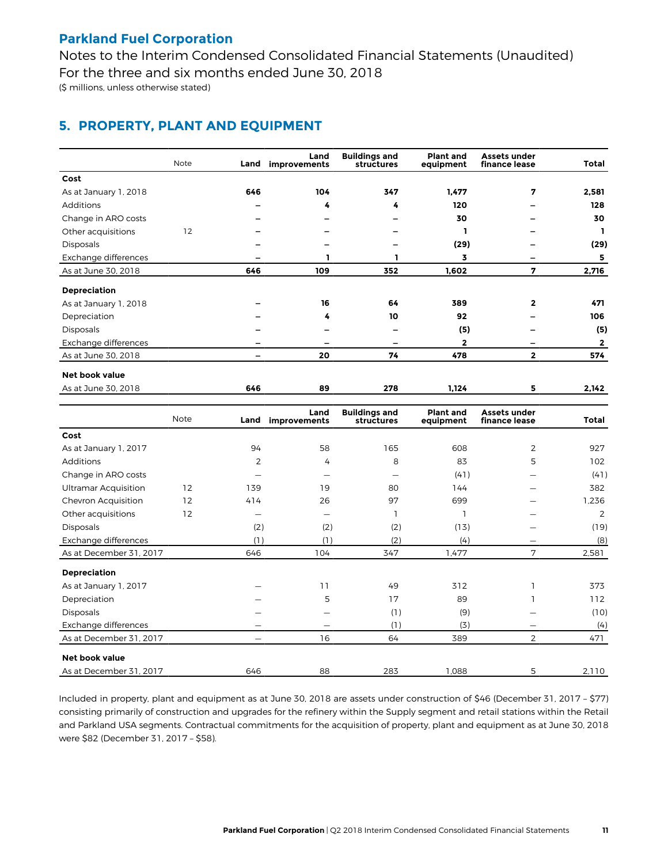Notes to the Interim Condensed Consolidated Financial Statements (Unaudited) For the three and six months ended June 30, 2018 (\$ millions, unless otherwise stated)

# **5. PROPERTY, PLANT AND EQUIPMENT**

|                       | Note | Land | Land<br>improvements | <b>Buildings and</b><br>structures | <b>Plant and</b><br>equipment | <b>Assets under</b><br>finance lease | Total        |
|-----------------------|------|------|----------------------|------------------------------------|-------------------------------|--------------------------------------|--------------|
| Cost                  |      |      |                      |                                    |                               |                                      |              |
| As at January 1, 2018 |      | 646  | 104                  | 347                                | 1.477                         | 7                                    | 2.581        |
| Additions             |      |      | 4                    | 4                                  | 120                           |                                      | 128          |
| Change in ARO costs   |      |      |                      |                                    | 30                            |                                      | 30           |
| Other acquisitions    | 12   |      |                      |                                    | П                             |                                      | ı            |
| <b>Disposals</b>      |      |      |                      |                                    | (29)                          |                                      | (29)         |
| Exchange differences  |      |      | п                    |                                    | 3                             |                                      | 5            |
| As at June 30, 2018   |      | 646  | 109                  | 352                                | 1,602                         | 7                                    | 2,716        |
| <b>Depreciation</b>   |      |      |                      |                                    |                               |                                      |              |
| As at January 1, 2018 |      |      | 16                   | 64                                 | 389                           | $\mathbf{2}$                         | 471          |
| Depreciation          |      |      | 4                    | 10                                 | 92                            |                                      | 106          |
| <b>Disposals</b>      |      |      |                      |                                    | (5)                           |                                      | (5)          |
| Exchange differences  |      |      |                      |                                    | $\mathbf{2}$                  |                                      | 2            |
| As at June 30, 2018   |      |      | 20                   | 74                                 | 478                           | $\mathbf{2}$                         | 574          |
| Net book value        |      |      |                      |                                    |                               |                                      |              |
| As at June 30, 2018   |      | 646  | 89                   | 278                                | 1,124                         | 5                                    | 2,142        |
|                       | Note | Land | Land<br>improvements | <b>Buildings and</b><br>structures | <b>Plant and</b><br>equipment | <b>Assets under</b><br>finance lease | <b>Total</b> |

|                             | Note | Land | improvements             | structures | equipment | finance lease  | Total |
|-----------------------------|------|------|--------------------------|------------|-----------|----------------|-------|
| Cost                        |      |      |                          |            |           |                |       |
| As at January 1, 2017       |      | 94   | 58                       | 165        | 608       | 2              | 927   |
| Additions                   |      | 2    | 4                        | 8          | 83        | 5              | 102   |
| Change in ARO costs         |      |      | $\overline{\phantom{0}}$ |            | (41)      |                | (41)  |
| <b>Ultramar Acquisition</b> | 12   | 139  | 19                       | 80         | 144       |                | 382   |
| Chevron Acquisition         | 12   | 414  | 26                       | 97         | 699       |                | 1,236 |
| Other acquisitions          | 12   | —    | —                        |            |           |                | 2     |
| <b>Disposals</b>            |      | (2)  | (2)                      | (2)        | (13)      |                | (19)  |
| Exchange differences        |      | (1)  | (1)                      | (2)        | (4)       |                | (8)   |
| As at December 31, 2017     |      | 646  | 104                      | 347        | 1.477     | 7              | 2,581 |
| <b>Depreciation</b>         |      |      |                          |            |           |                |       |
| As at January 1, 2017       |      |      | 11                       | 49         | 312       |                | 373   |
| Depreciation                |      |      | 5                        | 17         | 89        |                | 112   |
| <b>Disposals</b>            |      |      |                          | (1)        | (9)       |                | (10)  |
| Exchange differences        |      |      |                          | (1)        | (3)       |                | (4)   |
| As at December 31, 2017     |      |      | 16                       | 64         | 389       | $\overline{2}$ | 471   |
| <b>Net book value</b>       |      |      |                          |            |           |                |       |
| As at December 31, 2017     |      | 646  | 88                       | 283        | 1,088     | 5              | 2,110 |

Included in property, plant and equipment as at June 30, 2018 are assets under construction of \$46 (December 31, 2017 – \$77) consisting primarily of construction and upgrades for the refinery within the Supply segment and retail stations within the Retail and Parkland USA segments. Contractual commitments for the acquisition of property, plant and equipment as at June 30, 2018 were \$82 (December 31, 2017 – \$58).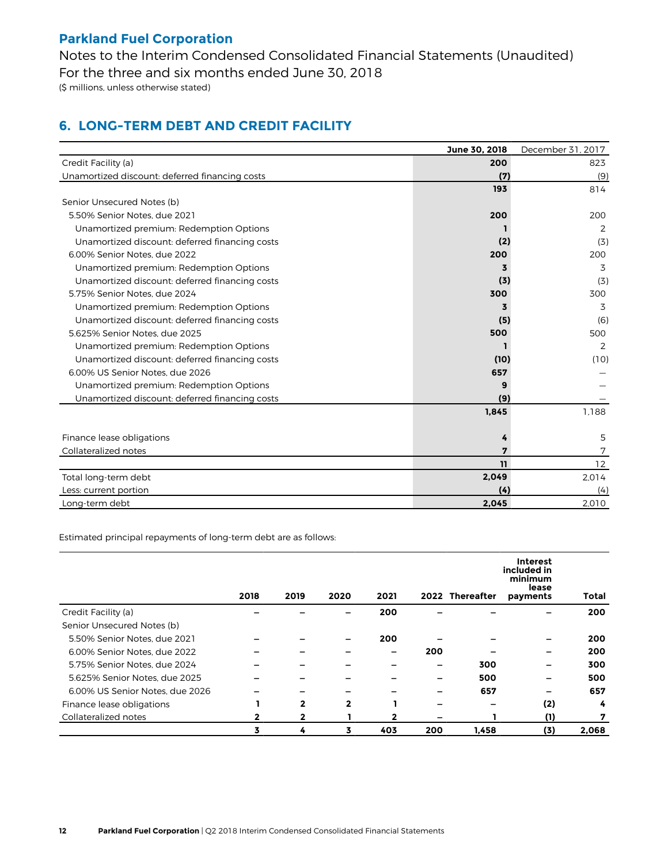Notes to the Interim Condensed Consolidated Financial Statements (Unaudited) For the three and six months ended June 30, 2018 (\$ millions, unless otherwise stated)

# **6. LONG-TERM DEBT AND CREDIT FACILITY**

|                                                | June 30, 2018 | December 31, 2017 |
|------------------------------------------------|---------------|-------------------|
| Credit Facility (a)                            | 200           | 823               |
| Unamortized discount: deferred financing costs | (7)           | (9)               |
|                                                | 193           | 814               |
| Senior Unsecured Notes (b)                     |               |                   |
| 5.50% Senior Notes, due 2021                   | 200           | 200               |
| Unamortized premium: Redemption Options        |               | 2                 |
| Unamortized discount: deferred financing costs | (2)           | (3)               |
| 6.00% Senior Notes, due 2022                   | 200           | 200               |
| Unamortized premium: Redemption Options        | 3             | 3                 |
| Unamortized discount: deferred financing costs | (3)           | (3)               |
| 5.75% Senior Notes, due 2024                   | 300           | 300               |
| Unamortized premium: Redemption Options        | 3             | 3                 |
| Unamortized discount: deferred financing costs | (5)           | (6)               |
| 5.625% Senior Notes, due 2025                  | 500           | 500               |
| Unamortized premium: Redemption Options        |               | 2                 |
| Unamortized discount: deferred financing costs | (10)          | (10)              |
| 6.00% US Senior Notes, due 2026                | 657           |                   |
| Unamortized premium: Redemption Options        | 9             |                   |
| Unamortized discount: deferred financing costs | (9)           |                   |
|                                                | 1,845         | 1,188             |
|                                                |               |                   |
| Finance lease obligations                      | 4             | 5                 |
| Collateralized notes                           | 7             | 7                 |
|                                                | 11            | 12                |
| Total long-term debt                           | 2,049         | 2,014             |
| Less: current portion                          | (4)           | (4)               |
| Long-term debt                                 | 2.045         | 2.010             |

Estimated principal repayments of long-term debt are as follows:

|                                 | 2018 | 2019         | 2020         | 2021 |     | 2022 Thereafter | <b>Interest</b><br>included in<br>minimum<br>lease<br>payments | <b>Total</b> |
|---------------------------------|------|--------------|--------------|------|-----|-----------------|----------------------------------------------------------------|--------------|
| Credit Facility (a)             |      |              |              | 200  |     |                 |                                                                | 200          |
| Senior Unsecured Notes (b)      |      |              |              |      |     |                 |                                                                |              |
| 5.50% Senior Notes, due 2021    |      |              |              | 200  |     |                 |                                                                | 200          |
| 6.00% Senior Notes, due 2022    |      |              |              | -    | 200 |                 | -                                                              | 200          |
| 5.75% Senior Notes, due 2024    |      |              |              |      | -   | 300             | -                                                              | 300          |
| 5.625% Senior Notes, due 2025   |      |              |              |      |     | 500             | -                                                              | 500          |
| 6.00% US Senior Notes, due 2026 |      |              |              |      |     | 657             | -                                                              | 657          |
| Finance lease obligations       |      | $\mathbf{2}$ | $\mathbf{2}$ |      |     |                 | (2)                                                            | 4            |
| Collateralized notes            |      |              |              | 2    |     |                 | (1)                                                            | 7            |
|                                 | 3    | 4            | 3            | 403  | 200 | 1,458           | (3)                                                            | 2,068        |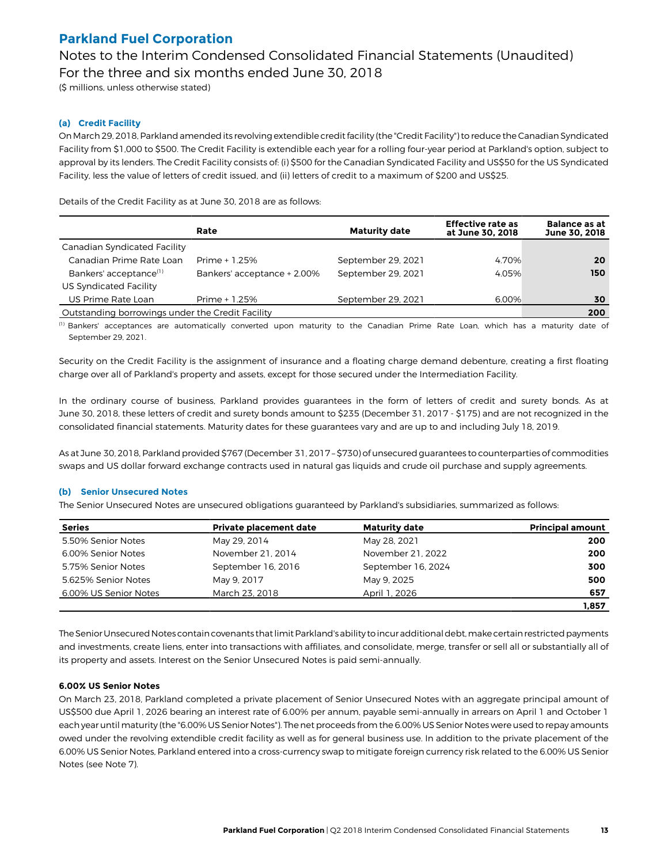Notes to the Interim Condensed Consolidated Financial Statements (Unaudited) For the three and six months ended June 30, 2018

(\$ millions, unless otherwise stated)

### **(a) Credit Facility**

On March 29, 2018, Parkland amended its revolving extendible credit facility (the "Credit Facility") to reduce the Canadian Syndicated Facility from \$1,000 to \$500. The Credit Facility is extendible each year for a rolling four-year period at Parkland's option, subject to approval by its lenders. The Credit Facility consists of: (i) \$500 for the Canadian Syndicated Facility and US\$50 for the US Syndicated Facility, less the value of letters of credit issued, and (ii) letters of credit to a maximum of \$200 and US\$25.

Details of the Credit Facility as at June 30, 2018 are as follows:

|                                                  | Rate                        | <b>Maturity date</b> | <b>Effective rate as</b><br>at June 30, 2018 | <b>Balance as at</b><br>June 30, 2018 |
|--------------------------------------------------|-----------------------------|----------------------|----------------------------------------------|---------------------------------------|
| Canadian Syndicated Facility                     |                             |                      |                                              |                                       |
| Canadian Prime Rate Loan                         | Prime + 1.25%               | September 29, 2021   | 4.70%                                        | 20                                    |
| Bankers' acceptance <sup>(1)</sup>               | Bankers' acceptance + 2.00% | September 29, 2021   | 4.05%                                        | 150                                   |
| US Syndicated Facility                           |                             |                      |                                              |                                       |
| US Prime Rate Loan                               | Prime + 1.25%               | September 29, 2021   | 6.00%                                        | 30                                    |
| Outstanding borrowings under the Credit Facility |                             | 200                  |                                              |                                       |

(1) Bankers' acceptances are automatically converted upon maturity to the Canadian Prime Rate Loan, which has a maturity date of September 29, 2021.

Security on the Credit Facility is the assignment of insurance and a floating charge demand debenture, creating a first floating charge over all of Parkland's property and assets, except for those secured under the Intermediation Facility.

In the ordinary course of business, Parkland provides guarantees in the form of letters of credit and surety bonds. As at June 30, 2018, these letters of credit and surety bonds amount to \$235 (December 31, 2017 - \$175) and are not recognized in the consolidated financial statements. Maturity dates for these guarantees vary and are up to and including July 18, 2019.

As at June 30, 2018, Parkland provided \$767 (December 31, 2017 – \$730) of unsecured guarantees to counterparties of commodities swaps and US dollar forward exchange contracts used in natural gas liquids and crude oil purchase and supply agreements.

#### **(b) Senior Unsecured Notes**

The Senior Unsecured Notes are unsecured obligations guaranteed by Parkland's subsidiaries, summarized as follows:

| <b>Series</b>         | Private placement date | <b>Maturity date</b> | <b>Principal amount</b> |
|-----------------------|------------------------|----------------------|-------------------------|
| 5.50% Senior Notes    | May 29, 2014           | May 28, 2021         | 200                     |
| 6.00% Senior Notes    | November 21, 2014      | November 21, 2022    | 200                     |
| 5.75% Senior Notes    | September 16, 2016     | September 16, 2024   | 300                     |
| 5.625% Senior Notes   | May 9, 2017            | May 9, 2025          | 500                     |
| 6.00% US Senior Notes | March 23, 2018         | April 1, 2026        | 657                     |
|                       |                        |                      | 1,857                   |

The Senior Unsecured Notes contain covenants that limit Parkland's ability to incur additional debt, make certain restricted payments and investments, create liens, enter into transactions with affiliates, and consolidate, merge, transfer or sell all or substantially all of its property and assets. Interest on the Senior Unsecured Notes is paid semi-annually.

#### **6.00% US Senior Notes**

On March 23, 2018, Parkland completed a private placement of Senior Unsecured Notes with an aggregate principal amount of US\$500 due April 1, 2026 bearing an interest rate of 6.00% per annum, payable semi-annually in arrears on April 1 and October 1 each year until maturity (the "6.00% US Senior Notes"). The net proceeds from the 6.00% US Senior Notes were used to repay amounts owed under the revolving extendible credit facility as well as for general business use. In addition to the private placement of the 6.00% US Senior Notes, Parkland entered into a cross-currency swap to mitigate foreign currency risk related to the 6.00% US Senior Notes (see Note 7).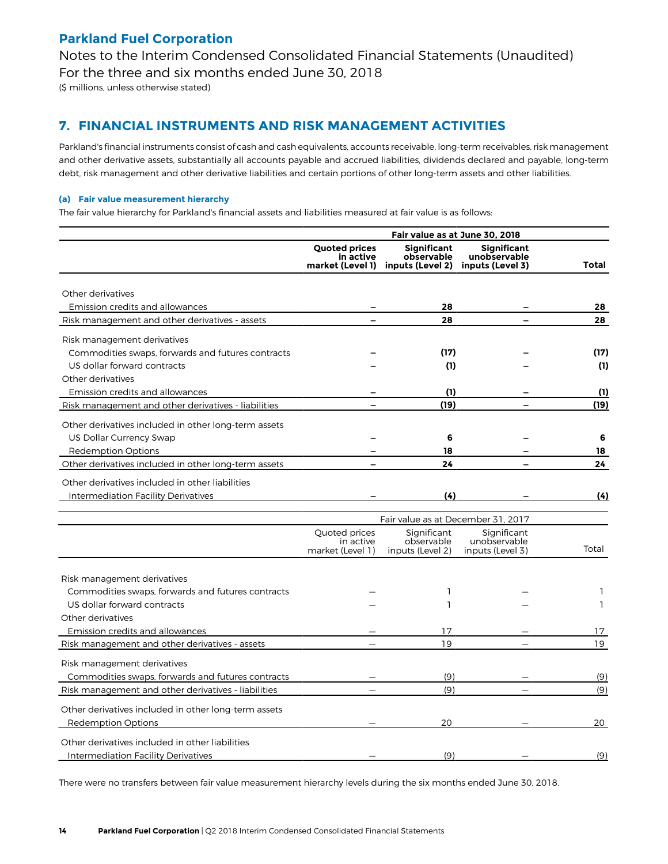Notes to the Interim Condensed Consolidated Financial Statements (Unaudited) For the three and six months ended June 30, 2018

(\$ millions, unless otherwise stated)

### **7. FINANCIAL INSTRUMENTS AND RISK MANAGEMENT ACTIVITIES**

Parkland's financial instruments consist of cash and cash equivalents, accounts receivable, long-term receivables, risk management and other derivative assets, substantially all accounts payable and accrued liabilities, dividends declared and payable, long-term debt, risk management and other derivative liabilities and certain portions of other long-term assets and other liabilities.

### **(a) Fair value measurement hierarchy**

The fair value hierarchy for Parkland's financial assets and liabilities measured at fair value is as follows:

|                                                      | Fair value as at June 30, 2018                        |                                                      |                                                        |              |  |  |
|------------------------------------------------------|-------------------------------------------------------|------------------------------------------------------|--------------------------------------------------------|--------------|--|--|
|                                                      | <b>Quoted prices</b><br>in active<br>market (Level 1) | <b>Significant</b><br>observable<br>inputs (Level 2) | <b>Significant</b><br>unobservable<br>inputs (Level 3) | Total        |  |  |
|                                                      |                                                       |                                                      |                                                        |              |  |  |
| Other derivatives                                    |                                                       |                                                      |                                                        |              |  |  |
| Emission credits and allowances                      |                                                       | 28                                                   |                                                        | 28           |  |  |
| Risk management and other derivatives - assets       |                                                       | 28                                                   |                                                        | 28           |  |  |
| Risk management derivatives                          |                                                       |                                                      |                                                        |              |  |  |
| Commodities swaps, forwards and futures contracts    |                                                       | (17)                                                 |                                                        | (17)         |  |  |
| US dollar forward contracts                          |                                                       | (1)                                                  |                                                        | (1)          |  |  |
| Other derivatives                                    |                                                       |                                                      |                                                        |              |  |  |
| Emission credits and allowances                      |                                                       | (1)                                                  |                                                        | (1)          |  |  |
| Risk management and other derivatives - liabilities  |                                                       | (19)                                                 |                                                        | (19)         |  |  |
|                                                      |                                                       |                                                      |                                                        |              |  |  |
| Other derivatives included in other long-term assets |                                                       |                                                      |                                                        |              |  |  |
| US Dollar Currency Swap                              |                                                       | 6                                                    |                                                        | 6            |  |  |
| <b>Redemption Options</b>                            |                                                       | 18<br>24                                             |                                                        | 18<br>24     |  |  |
| Other derivatives included in other long-term assets |                                                       |                                                      |                                                        |              |  |  |
| Other derivatives included in other liabilities      |                                                       |                                                      |                                                        |              |  |  |
| Intermediation Facility Derivatives                  |                                                       | (4)                                                  |                                                        | (4)          |  |  |
|                                                      |                                                       | Fair value as at December 31, 2017                   |                                                        |              |  |  |
|                                                      | Quoted prices                                         | Significant                                          | Significant                                            |              |  |  |
|                                                      | in active                                             | observable                                           | unobservable                                           |              |  |  |
|                                                      | market (Level 1)                                      | inputs (Level 2)                                     | inputs (Level 3)                                       | Total        |  |  |
|                                                      |                                                       |                                                      |                                                        |              |  |  |
| Risk management derivatives                          |                                                       |                                                      |                                                        |              |  |  |
| Commodities swaps, forwards and futures contracts    |                                                       | L                                                    |                                                        | $\mathbf{1}$ |  |  |
| US dollar forward contracts                          |                                                       | ı                                                    |                                                        | L            |  |  |
| Other derivatives                                    |                                                       |                                                      |                                                        |              |  |  |
| Emission credits and allowances                      |                                                       | 17<br>19                                             |                                                        | 17<br>19     |  |  |
| Risk management and other derivatives - assets       |                                                       |                                                      |                                                        |              |  |  |
| Risk management derivatives                          |                                                       |                                                      |                                                        |              |  |  |
| Commodities swaps, forwards and futures contracts    |                                                       | (9)                                                  |                                                        | (9)          |  |  |
| Risk management and other derivatives - liabilities  |                                                       | (9)                                                  |                                                        | (9)          |  |  |
| Other derivatives included in other long-term assets |                                                       |                                                      |                                                        |              |  |  |
| <b>Redemption Options</b>                            |                                                       | 20                                                   |                                                        | 20           |  |  |
| Other derivatives included in other liabilities      |                                                       |                                                      |                                                        |              |  |  |
|                                                      |                                                       | (9)                                                  |                                                        |              |  |  |
| Intermediation Facility Derivatives                  |                                                       |                                                      |                                                        | (9)          |  |  |

There were no transfers between fair value measurement hierarchy levels during the six months ended June 30, 2018.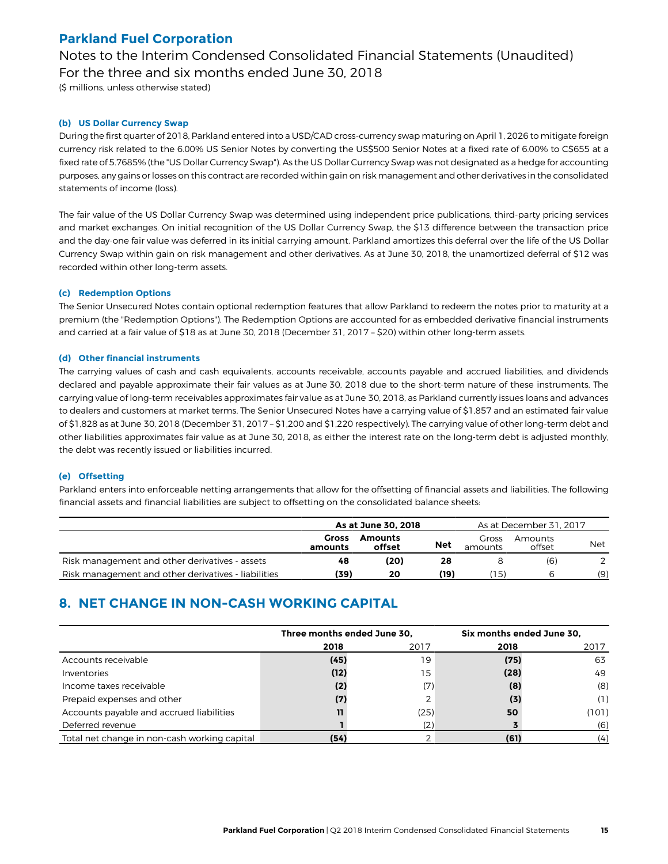Notes to the Interim Condensed Consolidated Financial Statements (Unaudited) For the three and six months ended June 30, 2018

(\$ millions, unless otherwise stated)

### **(b) US Dollar Currency Swap**

During the first quarter of 2018, Parkland entered into a USD/CAD cross-currency swap maturing on April 1, 2026 to mitigate foreign currency risk related to the 6.00% US Senior Notes by converting the US\$500 Senior Notes at a fixed rate of 6.00% to C\$655 at a fixed rate of 5.7685% (the "US Dollar Currency Swap"). As the US Dollar Currency Swap was not designated as a hedge for accounting purposes, any gains or losses on this contract are recorded within gain on risk management and other derivatives in the consolidated statements of income (loss).

The fair value of the US Dollar Currency Swap was determined using independent price publications, third-party pricing services and market exchanges. On initial recognition of the US Dollar Currency Swap, the \$13 difference between the transaction price and the day-one fair value was deferred in its initial carrying amount. Parkland amortizes this deferral over the life of the US Dollar Currency Swap within gain on risk management and other derivatives. As at June 30, 2018, the unamortized deferral of \$12 was recorded within other long-term assets.

### **(c) Redemption Options**

The Senior Unsecured Notes contain optional redemption features that allow Parkland to redeem the notes prior to maturity at a premium (the "Redemption Options"). The Redemption Options are accounted for as embedded derivative financial instruments and carried at a fair value of \$18 as at June 30, 2018 (December 31, 2017 – \$20) within other long-term assets.

### **(d) Other financial instruments**

The carrying values of cash and cash equivalents, accounts receivable, accounts payable and accrued liabilities, and dividends declared and payable approximate their fair values as at June 30, 2018 due to the short-term nature of these instruments. The carrying value of long-term receivables approximates fair value as at June 30, 2018, as Parkland currently issues loans and advances to dealers and customers at market terms. The Senior Unsecured Notes have a carrying value of \$1,857 and an estimated fair value of \$1,828 as at June 30, 2018 (December 31, 2017 – \$1,200 and \$1,220 respectively). The carrying value of other long-term debt and other liabilities approximates fair value as at June 30, 2018, as either the interest rate on the long-term debt is adjusted monthly, the debt was recently issued or liabilities incurred.

### **(e) Offsetting**

Parkland enters into enforceable netting arrangements that allow for the offsetting of financial assets and liabilities. The following financial assets and financial liabilities are subject to offsetting on the consolidated balance sheets:

|                                                     | As at June 30, 2018 |                          |            |                  | As at December 31, 2017 |            |
|-----------------------------------------------------|---------------------|--------------------------|------------|------------------|-------------------------|------------|
|                                                     | Gross<br>amounts    | <b>Amounts</b><br>offset | <b>Net</b> | Gross<br>amounts | Amounts<br>offset       | <b>Net</b> |
| Risk management and other derivatives - assets      | 48                  | (20)                     | 28         |                  | (6)                     |            |
| Risk management and other derivatives - liabilities | (39)                | 20                       | (19)       | ้15)             |                         | (9)        |

# **8. NET CHANGE IN NON-CASH WORKING CAPITAL**

|                                              | Three months ended June 30, |      | Six months ended June 30, |       |
|----------------------------------------------|-----------------------------|------|---------------------------|-------|
|                                              | 2018                        | 2017 | 2018                      | 2017  |
| Accounts receivable                          | (45)                        | 19   | (75)                      | 63    |
| Inventories                                  | (12)                        | 15   | (28)                      | 49    |
| Income taxes receivable                      | (2)                         | (7)  | (8)                       | (8)   |
| Prepaid expenses and other                   | (7)                         |      | (3)                       | (1)   |
| Accounts payable and accrued liabilities     | 11                          | (25) | 50                        | (101) |
| Deferred revenue                             |                             |      |                           | (6)   |
| Total net change in non-cash working capital | (54)                        |      | (61)                      | (4)   |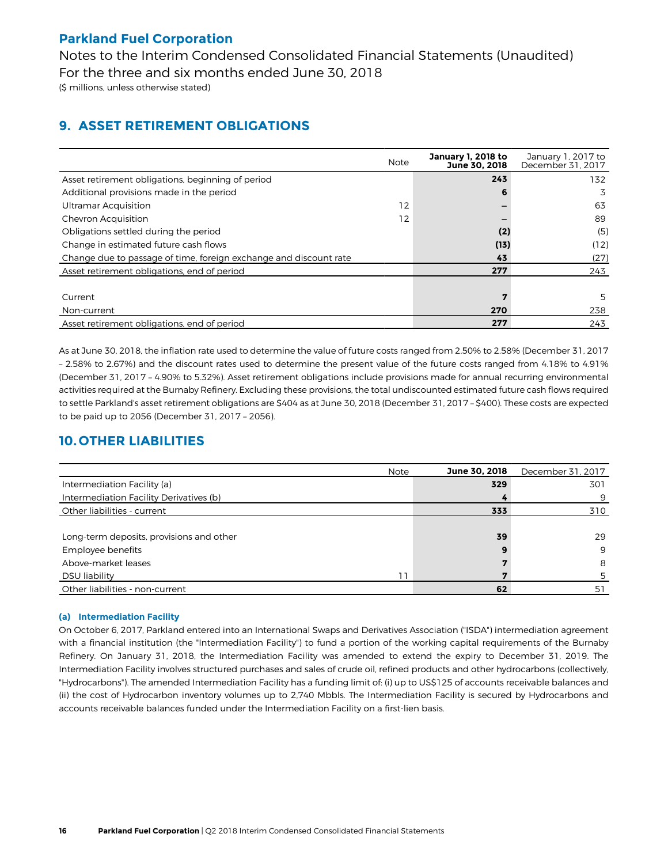Notes to the Interim Condensed Consolidated Financial Statements (Unaudited) For the three and six months ended June 30, 2018 (\$ millions, unless otherwise stated)

# **9. ASSET RETIREMENT OBLIGATIONS**

|                                                                   | <b>Note</b> | January 1, 2018 to<br>June 30, 2018 | January 1, 2017 to<br>December 31, 2017 |
|-------------------------------------------------------------------|-------------|-------------------------------------|-----------------------------------------|
| Asset retirement obligations, beginning of period                 |             | 243                                 | 132                                     |
| Additional provisions made in the period                          |             | 6                                   | 3                                       |
| <b>Ultramar Acquisition</b>                                       | 12          |                                     | 63                                      |
| Chevron Acquisition                                               | 12          |                                     | 89                                      |
| Obligations settled during the period                             |             | (2)                                 | (5)                                     |
| Change in estimated future cash flows                             |             | (13)                                | (12)                                    |
| Change due to passage of time, foreign exchange and discount rate |             | 43                                  | (27)                                    |
| Asset retirement obligations, end of period                       |             | 277                                 | 243                                     |
|                                                                   |             |                                     |                                         |
| Current                                                           |             | 7                                   | 5                                       |
| Non-current                                                       |             | 270                                 | 238                                     |
| Asset retirement obligations, end of period                       |             | 277                                 | 243                                     |

As at June 30, 2018, the inflation rate used to determine the value of future costs ranged from 2.50% to 2.58% (December 31, 2017 – 2.58% to 2.67%) and the discount rates used to determine the present value of the future costs ranged from 4.18% to 4.91% (December 31, 2017 – 4.90% to 5.32%). Asset retirement obligations include provisions made for annual recurring environmental activities required at the Burnaby Refinery. Excluding these provisions, the total undiscounted estimated future cash flows required to settle Parkland's asset retirement obligations are \$404 as at June 30, 2018 (December 31, 2017 – \$400). These costs are expected to be paid up to 2056 (December 31, 2017 – 2056).

# **10. OTHER LIABILITIES**

|                                          | <b>Note</b> | June 30, 2018 | December 31, 2017 |
|------------------------------------------|-------------|---------------|-------------------|
| Intermediation Facility (a)              |             | 329           | 301               |
| Intermediation Facility Derivatives (b)  |             |               | 9                 |
| Other liabilities - current              |             | 333           | 310               |
|                                          |             |               |                   |
| Long-term deposits, provisions and other |             | 39            | 29                |
| Employee benefits                        |             | 9             | 9                 |
| Above-market leases                      |             |               | 8                 |
| DSU liability                            |             |               |                   |
| Other liabilities - non-current          |             | 62            | 51                |

### **(a) Intermediation Facility**

On October 6, 2017, Parkland entered into an International Swaps and Derivatives Association ("ISDA") intermediation agreement with a financial institution (the "Intermediation Facility") to fund a portion of the working capital requirements of the Burnaby Refinery. On January 31, 2018, the Intermediation Facility was amended to extend the expiry to December 31, 2019. The Intermediation Facility involves structured purchases and sales of crude oil, refined products and other hydrocarbons (collectively, "Hydrocarbons"). The amended Intermediation Facility has a funding limit of: (i) up to US\$125 of accounts receivable balances and (ii) the cost of Hydrocarbon inventory volumes up to 2,740 Mbbls. The Intermediation Facility is secured by Hydrocarbons and accounts receivable balances funded under the Intermediation Facility on a first-lien basis.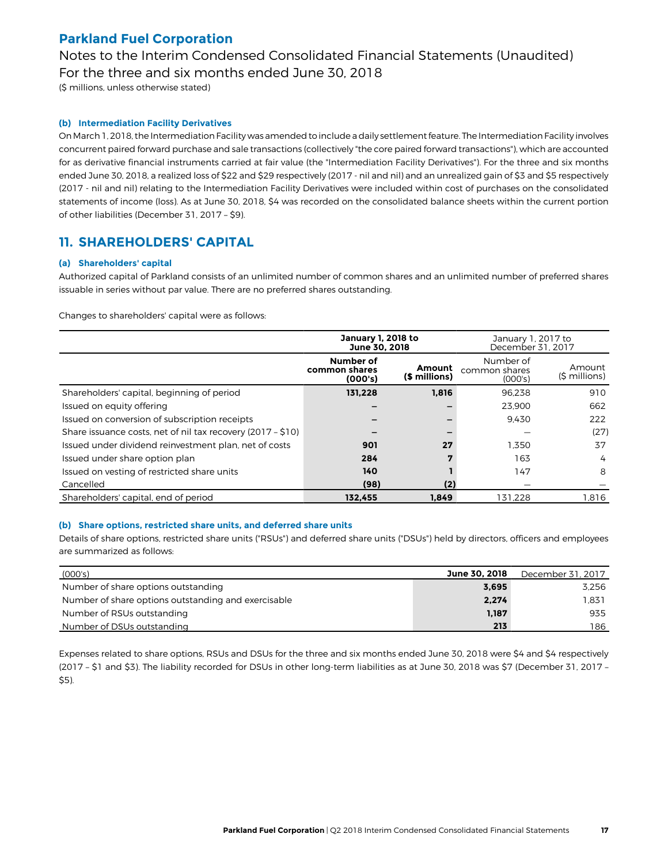Notes to the Interim Condensed Consolidated Financial Statements (Unaudited) For the three and six months ended June 30, 2018

(\$ millions, unless otherwise stated)

### **(b) Intermediation Facility Derivatives**

On March 1, 2018, the Intermediation Facility was amended to include a daily settlement feature. The Intermediation Facility involves concurrent paired forward purchase and sale transactions (collectively "the core paired forward transactions"), which are accounted for as derivative financial instruments carried at fair value (the "Intermediation Facility Derivatives"). For the three and six months ended June 30, 2018, a realized loss of \$22 and \$29 respectively (2017 - nil and nil) and an unrealized gain of \$3 and \$5 respectively (2017 - nil and nil) relating to the Intermediation Facility Derivatives were included within cost of purchases on the consolidated statements of income (loss). As at June 30, 2018, \$4 was recorded on the consolidated balance sheets within the current portion of other liabilities (December 31, 2017 – \$9).

### **11. SHAREHOLDERS' CAPITAL**

#### **(a) Shareholders' capital**

Authorized capital of Parkland consists of an unlimited number of common shares and an unlimited number of preferred shares issuable in series without par value. There are no preferred shares outstanding.

Changes to shareholders' capital were as follows:

|                                                             | <b>January 1, 2018 to</b><br>June 30, 2018 |                         | January 1, 2017 to<br>December 31, 2017 |                          |
|-------------------------------------------------------------|--------------------------------------------|-------------------------|-----------------------------------------|--------------------------|
|                                                             | Number of<br>common shares<br>(000's)      | Amount<br>(\$ millions) | Number of<br>common shares<br>(000's)   | Amount<br>$(5 millions)$ |
| Shareholders' capital, beginning of period                  | 131.228                                    | 1.816                   | 96.238                                  | 910                      |
| Issued on equity offering                                   |                                            |                         | 23,900                                  | 662                      |
| Issued on conversion of subscription receipts               |                                            |                         | 9.430                                   | 222                      |
| Share issuance costs, net of nil tax recovery (2017 - \$10) |                                            |                         |                                         | (27)                     |
| Issued under dividend reinvestment plan, net of costs       | 901                                        | 27                      | 1.350                                   | 37                       |
| Issued under share option plan                              | 284                                        |                         | 163                                     | 4                        |
| Issued on vesting of restricted share units                 | 140                                        |                         | 147                                     | 8                        |
| Cancelled                                                   | (98)                                       | (2)                     |                                         |                          |
| Shareholders' capital, end of period                        | 132.455                                    | 1.849                   | 131.228                                 | 1.816                    |

#### **(b) Share options, restricted share units, and deferred share units**

Details of share options, restricted share units ("RSUs") and deferred share units ("DSUs") held by directors, officers and employees are summarized as follows:

| (000's)                                             | June 30, 2018 | December 31, 2017 |
|-----------------------------------------------------|---------------|-------------------|
| Number of share options outstanding                 | 3.695         | 3.256             |
| Number of share options outstanding and exercisable | 2.274         | 1.831             |
| Number of RSUs outstanding                          | 1,187         | 935               |
| Number of DSUs outstanding                          | 213           | 186               |

Expenses related to share options, RSUs and DSUs for the three and six months ended June 30, 2018 were \$4 and \$4 respectively (2017 – \$1 and \$3). The liability recorded for DSUs in other long-term liabilities as at June 30, 2018 was \$7 (December 31, 2017 – \$5).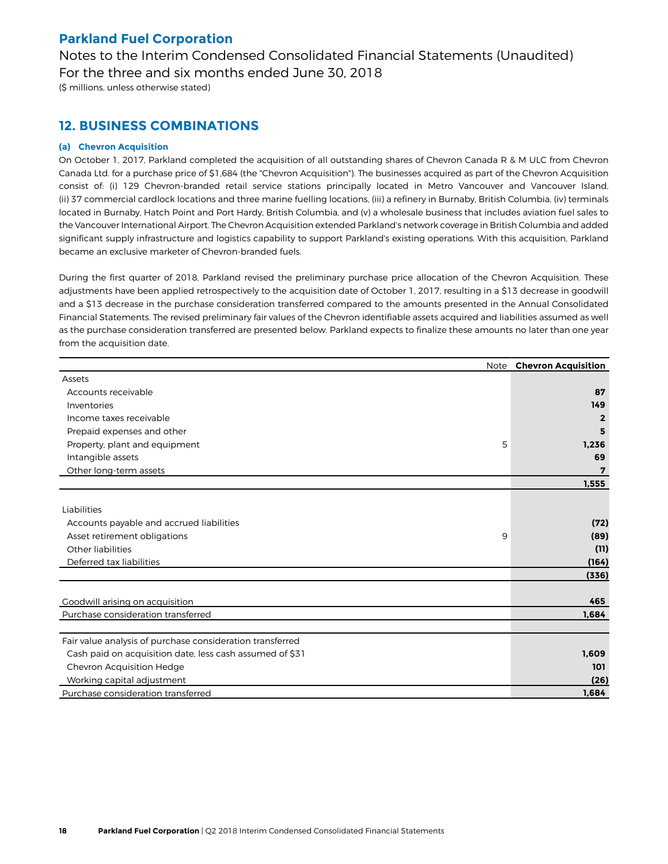Notes to the Interim Condensed Consolidated Financial Statements (Unaudited) For the three and six months ended June 30, 2018

(\$ millions, unless otherwise stated)

### **12. BUSINESS COMBINATIONS**

### **(a) Chevron Acquisition**

On October 1, 2017, Parkland completed the acquisition of all outstanding shares of Chevron Canada R & M ULC from Chevron Canada Ltd. for a purchase price of \$1,684 (the "Chevron Acquisition"). The businesses acquired as part of the Chevron Acquisition consist of: (i) 129 Chevron-branded retail service stations principally located in Metro Vancouver and Vancouver Island, (ii) 37 commercial cardlock locations and three marine fuelling locations, (iii) a refinery in Burnaby, British Columbia, (iv) terminals located in Burnaby, Hatch Point and Port Hardy, British Columbia, and (v) a wholesale business that includes aviation fuel sales to the Vancouver International Airport. The Chevron Acquisition extended Parkland's network coverage in British Columbia and added significant supply infrastructure and logistics capability to support Parkland's existing operations. With this acquisition, Parkland became an exclusive marketer of Chevron-branded fuels.

During the first quarter of 2018, Parkland revised the preliminary purchase price allocation of the Chevron Acquisition. These adjustments have been applied retrospectively to the acquisition date of October 1, 2017, resulting in a \$13 decrease in goodwill and a \$13 decrease in the purchase consideration transferred compared to the amounts presented in the Annual Consolidated Financial Statements. The revised preliminary fair values of the Chevron identifiable assets acquired and liabilities assumed as well as the purchase consideration transferred are presented below. Parkland expects to finalize these amounts no later than one year from the acquisition date.

|                                                           |   | Note Chevron Acquisition |
|-----------------------------------------------------------|---|--------------------------|
| Assets                                                    |   |                          |
| Accounts receivable                                       |   | 87                       |
| Inventories                                               |   | 149                      |
| Income taxes receivable                                   |   | $\overline{2}$           |
| Prepaid expenses and other                                |   | 5                        |
| Property, plant and equipment                             | 5 | 1,236                    |
| Intangible assets                                         |   | 69                       |
| Other long-term assets                                    |   | 7                        |
|                                                           |   | 1,555                    |
|                                                           |   |                          |
| Liabilities                                               |   |                          |
| Accounts payable and accrued liabilities                  |   | (72)                     |
| Asset retirement obligations                              | 9 | (89)                     |
| Other liabilities                                         |   | (11)                     |
| Deferred tax liabilities                                  |   | (164)                    |
|                                                           |   | (336)                    |
|                                                           |   |                          |
| Goodwill arising on acquisition                           |   | 465                      |
| Purchase consideration transferred                        |   | 1,684                    |
|                                                           |   |                          |
| Fair value analysis of purchase consideration transferred |   |                          |
| Cash paid on acquisition date, less cash assumed of \$31  |   | 1,609                    |
| Chevron Acquisition Hedge                                 |   | 101                      |
| Working capital adjustment                                |   | (26)                     |
| Purchase consideration transferred                        |   | 1,684                    |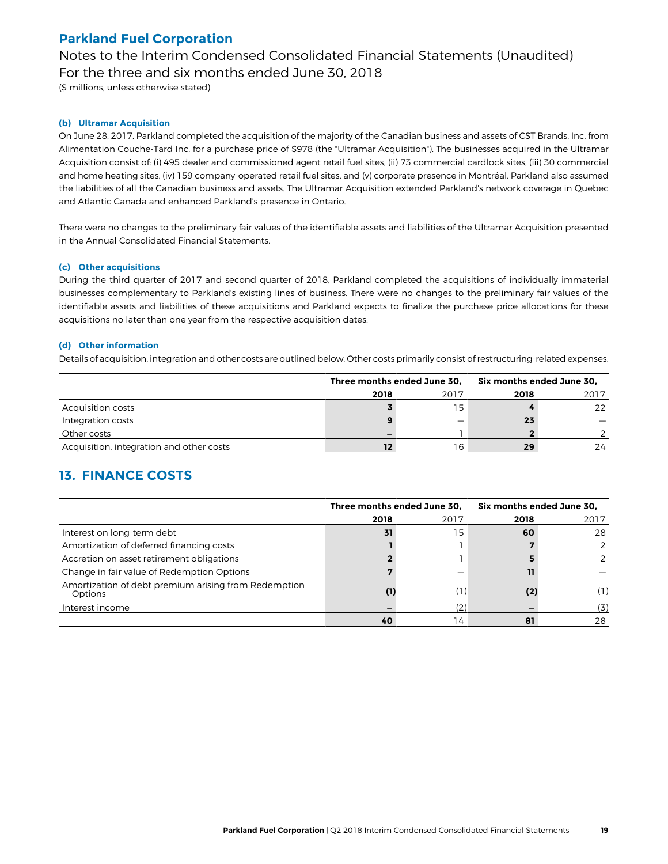Notes to the Interim Condensed Consolidated Financial Statements (Unaudited) For the three and six months ended June 30, 2018

(\$ millions, unless otherwise stated)

### **(b) Ultramar Acquisition**

On June 28, 2017, Parkland completed the acquisition of the majority of the Canadian business and assets of CST Brands, Inc. from Alimentation Couche-Tard Inc. for a purchase price of \$978 (the "Ultramar Acquisition"). The businesses acquired in the Ultramar Acquisition consist of: (i) 495 dealer and commissioned agent retail fuel sites, (ii) 73 commercial cardlock sites, (iii) 30 commercial and home heating sites, (iv) 159 company-operated retail fuel sites, and (v) corporate presence in Montréal. Parkland also assumed the liabilities of all the Canadian business and assets. The Ultramar Acquisition extended Parkland's network coverage in Quebec and Atlantic Canada and enhanced Parkland's presence in Ontario.

There were no changes to the preliminary fair values of the identifiable assets and liabilities of the Ultramar Acquisition presented in the Annual Consolidated Financial Statements.

#### **(c) Other acquisitions**

During the third quarter of 2017 and second quarter of 2018, Parkland completed the acquisitions of individually immaterial businesses complementary to Parkland's existing lines of business. There were no changes to the preliminary fair values of the identifiable assets and liabilities of these acquisitions and Parkland expects to finalize the purchase price allocations for these acquisitions no later than one year from the respective acquisition dates.

#### **(d) Other information**

Details of acquisition, integration and other costs are outlined below. Other costs primarily consist of restructuring-related expenses.

|                                          |      | Three months ended June 30, | Six months ended June 30. |      |  |
|------------------------------------------|------|-----------------------------|---------------------------|------|--|
|                                          | 2018 | 2017                        | 2018                      | 2017 |  |
| Acquisition costs                        |      | 15                          |                           | 22   |  |
| Integration costs                        |      | —                           | 23                        |      |  |
| Other costs                              |      |                             |                           |      |  |
| Acquisition, integration and other costs |      | 16                          | 29                        | 24   |  |

### **13. FINANCE COSTS**

|                                                                 | Three months ended June 30, |      | Six months ended June 30, |      |
|-----------------------------------------------------------------|-----------------------------|------|---------------------------|------|
|                                                                 | 2018                        | 2017 | 2018                      | 2017 |
| Interest on long-term debt                                      | 31                          | 15   | 60                        | 28   |
| Amortization of deferred financing costs                        |                             |      |                           |      |
| Accretion on asset retirement obligations                       |                             |      |                           |      |
| Change in fair value of Redemption Options                      |                             |      |                           |      |
| Amortization of debt premium arising from Redemption<br>Options | (1)                         | (1)  | (2)                       | (1)  |
| Interest income                                                 |                             | (2)  |                           | (3)  |
|                                                                 | 40                          | 14   | 81                        | 28   |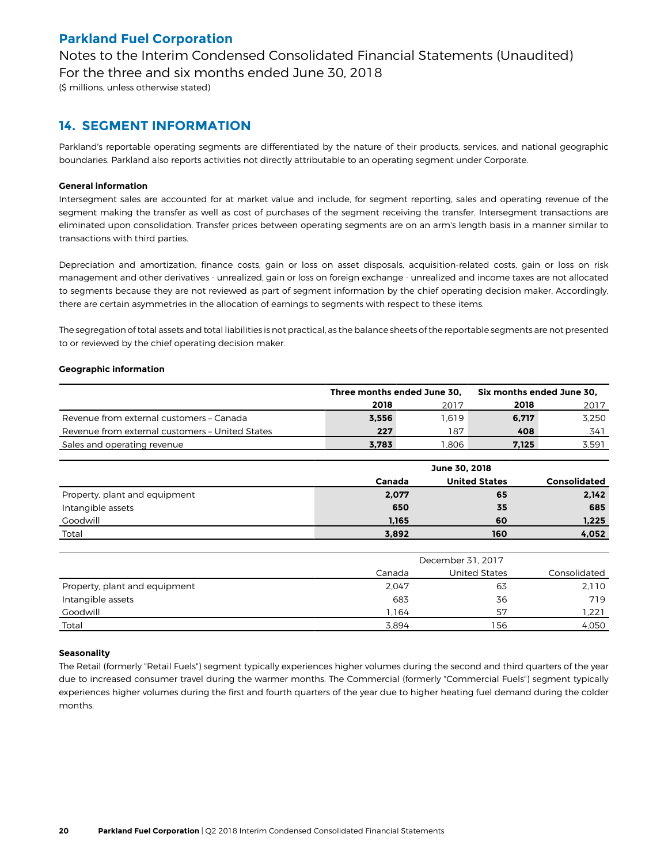Notes to the Interim Condensed Consolidated Financial Statements (Unaudited) For the three and six months ended June 30, 2018

(\$ millions, unless otherwise stated)

### **14. SEGMENT INFORMATION**

Parkland's reportable operating segments are differentiated by the nature of their products, services, and national geographic boundaries. Parkland also reports activities not directly attributable to an operating segment under Corporate.

### **General information**

Intersegment sales are accounted for at market value and include, for segment reporting, sales and operating revenue of the segment making the transfer as well as cost of purchases of the segment receiving the transfer. Intersegment transactions are eliminated upon consolidation. Transfer prices between operating segments are on an arm's length basis in a manner similar to transactions with third parties.

Depreciation and amortization, finance costs, gain or loss on asset disposals, acquisition-related costs, gain or loss on risk management and other derivatives - unrealized, gain or loss on foreign exchange - unrealized and income taxes are not allocated to segments because they are not reviewed as part of segment information by the chief operating decision maker. Accordingly, there are certain asymmetries in the allocation of earnings to segments with respect to these items.

The segregation of total assets and total liabilities is not practical, as the balance sheets of the reportable segments are not presented to or reviewed by the chief operating decision maker.

### **Geographic information**

|                                                 | Three months ended June 30, |       | Six months ended June 30, |       |
|-------------------------------------------------|-----------------------------|-------|---------------------------|-------|
|                                                 | 2018                        | 2017  | 2018                      | 2017  |
| Revenue from external customers - Canada        | 3.556                       | 1.619 | 6.717                     | 3.250 |
| Revenue from external customers - United States | 227                         | 187   | 408                       | 341   |
| Sales and operating revenue                     | 3.783                       | .806  | 7,125                     | 3.591 |

|                               | June 30, 2018 |                      |                     |  |  |  |  |  |
|-------------------------------|---------------|----------------------|---------------------|--|--|--|--|--|
|                               | Canada        | <b>United States</b> | <b>Consolidated</b> |  |  |  |  |  |
| Property, plant and equipment | 2,077         | 65                   | 2,142               |  |  |  |  |  |
| Intangible assets             | 650           | 35                   | 685                 |  |  |  |  |  |
| Goodwill                      | 1,165         | 60                   | 1,225               |  |  |  |  |  |
| Total                         | 3,892         | 160                  | 4,052               |  |  |  |  |  |

|                               | December 31, 2017 |               |              |  |  |  |  |  |
|-------------------------------|-------------------|---------------|--------------|--|--|--|--|--|
|                               | Canada            | United States | Consolidated |  |  |  |  |  |
| Property, plant and equipment | 2.047             | 63            | 2.110        |  |  |  |  |  |
| Intangible assets             | 683               | 36            | 719          |  |  |  |  |  |
| Goodwill                      | .164              | 57            | 221. ا       |  |  |  |  |  |
| Total                         | 3.894             | 156           | 4,050        |  |  |  |  |  |

### **Seasonality**

The Retail (formerly "Retail Fuels") segment typically experiences higher volumes during the second and third quarters of the year due to increased consumer travel during the warmer months. The Commercial (formerly "Commercial Fuels") segment typically experiences higher volumes during the first and fourth quarters of the year due to higher heating fuel demand during the colder months.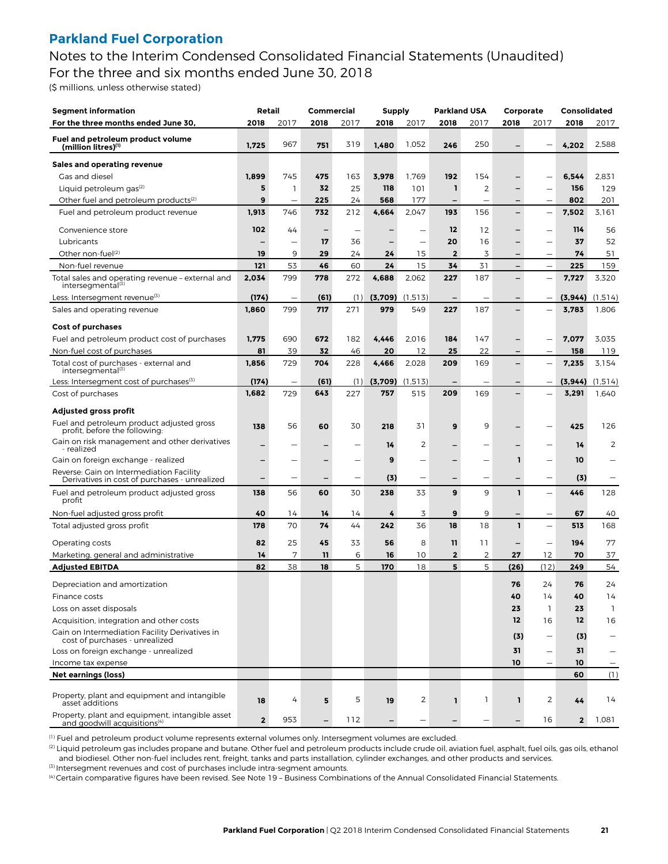Notes to the Interim Condensed Consolidated Financial Statements (Unaudited) For the three and six months ended June 30, 2018

(\$ millions, unless otherwise stated)

| Segment information                                                                         | Retail                   |                          | Commercial |      | <b>Supply</b> |         | <b>Parkland USA</b>      |                          | Corporate                |                          | <b>Consolidated</b> |                    |
|---------------------------------------------------------------------------------------------|--------------------------|--------------------------|------------|------|---------------|---------|--------------------------|--------------------------|--------------------------|--------------------------|---------------------|--------------------|
| For the three months ended June 30,                                                         | 2018                     | 2017                     | 2018       | 2017 | 2018          | 2017    | 2018                     | 2017                     | 2018                     | 2017                     | 2018                | 2017               |
| Fuel and petroleum product volume<br>(million litres)(1)                                    | 1,725                    | 967                      | 751        | 319  | 1,480         | 1,052   | 246                      | 250                      |                          |                          | 4,202               | 2,588              |
| Sales and operating revenue                                                                 |                          |                          |            |      |               |         |                          |                          |                          |                          |                     |                    |
| Gas and diesel                                                                              | 1,899                    | 745                      | 475        | 163  | 3,978         | 1,769   | 192                      | 154                      |                          | -                        | 6,544               | 2,831              |
| Liquid petroleum gas <sup>(2)</sup>                                                         | 5                        | $\mathbf{1}$             | 32         | 25   | 118           | 101     | $\mathbf{1}$             | 2                        |                          |                          | 156                 | 129                |
| Other fuel and petroleum products <sup>(2)</sup>                                            | 9                        | $\overline{\phantom{a}}$ | 225        | 24   | 568           | 177     |                          |                          |                          |                          | 802                 | 201                |
| Fuel and petroleum product revenue                                                          | 1,913                    | 746                      | 732        | 212  | 4,664         | 2,047   | 193                      | 156                      | $\overline{\phantom{0}}$ | -                        | 7,502               | 3.161              |
| Convenience store                                                                           | 102                      | 44                       |            |      |               |         | 12                       | 12                       |                          | -                        | 114                 | 56                 |
| Lubricants                                                                                  | $\overline{\phantom{0}}$ | $\overline{\phantom{0}}$ | 17         | 36   |               | -       | 20                       | 16                       | -                        | -                        | 37                  | 52                 |
| Other non-fuel <sup>(2)</sup>                                                               | 19                       | 9                        | 29         | 24   | 24            | 15      | $\mathbf{2}$             | 3                        |                          |                          | 74                  | 51                 |
| Non-fuel revenue                                                                            | 121                      | 53                       | 46         | 60   | 24            | 15      | 34                       | 31                       | -                        | $\overline{\phantom{0}}$ | 225                 | 159                |
| Total sales and operating revenue - external and<br>intersegmental <sup>(3)</sup>           | 2,034                    | 799                      | 778        | 272  | 4,688         | 2,062   | 227                      | 187                      | —                        | -                        | 7,727               | 3,320              |
| Less: Intersegment revenue <sup>(3)</sup>                                                   | (174)                    | $\overline{\phantom{m}}$ | (61)       | (1)  | (3,709)       | (1.513) | $\overline{\phantom{0}}$ | $\overline{\phantom{0}}$ | $\qquad \qquad -$        | $\overline{\phantom{0}}$ | (3, 944)            | (1,514)            |
| Sales and operating revenue                                                                 | 1,860                    | 799                      | 717        | 271  | 979           | 549     | 227                      | 187                      | -                        |                          | 3,783               | 1,806              |
| <b>Cost of purchases</b>                                                                    |                          |                          |            |      |               |         |                          |                          |                          |                          |                     |                    |
| Fuel and petroleum product cost of purchases                                                | 1,775                    | 690                      | 672        | 182  | 4,446         | 2,016   | 184                      | 147                      | $\overline{\phantom{0}}$ |                          | 7,077               | 3,035              |
| Non-fuel cost of purchases                                                                  | 81                       | 39                       | 32         | 46   | 20            | 12      | 25                       | 22                       |                          |                          | 158                 | 119                |
| Total cost of purchases - external and<br>intersegmental <sup>(3)</sup>                     | 1,856                    | 729                      | 704        | 228  | 4,466         | 2,028   | 209                      | 169                      | -                        | -                        | 7,235               | 3,154              |
| Less: Intersegment cost of purchases <sup>(3)</sup>                                         | (174)                    | $\qquad \qquad -$        | (61)       | (1)  | (3,709)       | (1,513) |                          |                          | —                        |                          | (3, 944)            | (1,514)            |
| Cost of purchases                                                                           | 1,682                    | 729                      | 643        | 227  | 757           | 515     | 209                      | 169                      |                          |                          | 3,291               | 1,640              |
| Adjusted gross profit                                                                       |                          |                          |            |      |               |         |                          |                          |                          |                          |                     |                    |
| Fuel and petroleum product adjusted gross<br>profit, before the following:                  | 138                      | 56                       | 60         | 30   | 218           | 31      | 9                        | 9                        |                          |                          | 425                 | 126                |
| Gain on risk management and other derivatives<br>- realized                                 |                          | -                        |            | -    | 14            | 2       |                          | $\overline{\phantom{0}}$ |                          | -                        | 14                  | 2                  |
| Gain on foreign exchange - realized                                                         | -                        | -                        |            | -    | 9             | -       |                          | -                        | ı                        | -                        | 10                  |                    |
| Reverse: Gain on Intermediation Facility<br>Derivatives in cost of purchases - unrealized   |                          | -                        |            | -    | (3)           | -       |                          | $\overline{\phantom{0}}$ |                          | -                        | (3)                 |                    |
| Fuel and petroleum product adjusted gross<br>profit                                         | 138                      | 56                       | 60         | 30   | 238           | 33      | 9                        | 9                        | 1                        | -                        | 446                 | 128                |
| Non-fuel adjusted gross profit                                                              | 40                       | 14                       | 14         | 14   | 4             | 3       | 9                        | 9                        |                          | $\overline{\phantom{0}}$ | 67                  | 40                 |
| Total adjusted gross profit                                                                 | 178                      | 70                       | 74         | 44   | 242           | 36      | 18                       | 18                       | 1                        | -                        | 513                 | 168                |
| Operating costs                                                                             | 82                       | 25                       | 45         | 33   | 56            | 8       | 11                       | 11                       | —                        | $\overline{\phantom{0}}$ | 194                 | 77                 |
| Marketing, general and administrative                                                       | 14                       | 7                        | 11         | 6    | 16            | 10      | $\mathbf{2}$             | 2                        | 27                       | 12                       | 70                  | 37                 |
| <b>Adjusted EBITDA</b>                                                                      | 82                       | 38                       | 18         | 5    | 170           | 18      | 5                        | 5                        | (26)                     | (12)                     | 249                 | 54                 |
|                                                                                             |                          |                          |            |      |               |         |                          |                          |                          |                          |                     |                    |
| Depreciation and amortization                                                               |                          |                          |            |      |               |         |                          |                          | 76                       | 24                       | 76                  | 24                 |
| Finance costs<br>Loss on asset disposals                                                    |                          |                          |            |      |               |         |                          |                          | 40<br>23                 | 14<br>1                  | 40<br>23            | 14<br>$\mathbf{1}$ |
| Acquisition, integration and other costs                                                    |                          |                          |            |      |               |         |                          |                          | 12                       | 16                       | 12                  | 16                 |
| Gain on Intermediation Facility Derivatives in                                              |                          |                          |            |      |               |         |                          |                          |                          |                          |                     |                    |
| cost of purchases - unrealized                                                              |                          |                          |            |      |               |         |                          |                          | (3)                      |                          | (3)                 |                    |
| Loss on foreign exchange - unrealized                                                       |                          |                          |            |      |               |         |                          |                          | 31                       | $\overline{\phantom{0}}$ | 31                  |                    |
| Income tax expense                                                                          |                          |                          |            |      |               |         |                          |                          | 10                       |                          | 10                  |                    |
| <b>Net earnings (loss)</b>                                                                  |                          |                          |            |      |               |         |                          |                          |                          |                          | 60                  | (1)                |
| Property, plant and equipment and intangible<br>asset additions                             | 18                       | 4                        | 5          | 5    | 19            | 2       | ı                        | $\mathbf{1}$             | L                        | 2                        | 44                  | 14                 |
| Property, plant and equipment, intangible asset<br>and goodwill acquisitions <sup>(4)</sup> | $\overline{2}$           | 953                      |            | 112  |               |         |                          |                          |                          | 16                       | $\mathbf{2}$        | 1,081              |

(1) Fuel and petroleum product volume represents external volumes only. Intersegment volumes are excluded.

(2) Liquid petroleum gas includes propane and butane. Other fuel and petroleum products include crude oil, aviation fuel, asphalt, fuel oils, gas oils, ethanol and biodiesel. Other non-fuel includes rent, freight, tanks and parts installation, cylinder exchanges, and other products and services.  $<sup>(3)</sup>$  Intersegment revenues and cost of purchases include intra-segment amounts.</sup>

(4) Certain comparative figures have been revised. See Note 19 – Business Combinations of the Annual Consolidated Financial Statements.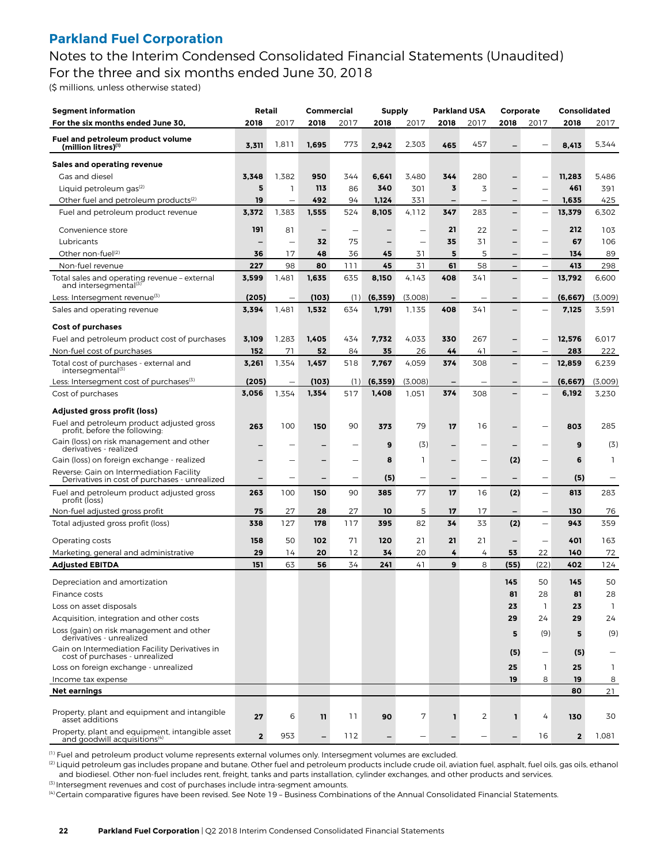Notes to the Interim Condensed Consolidated Financial Statements (Unaudited) For the three and six months ended June 30, 2018

(\$ millions, unless otherwise stated)

| <b>Segment information</b>                                                                                     | Retail         |                          | <b>Commercial</b>        |      | Supply                   |         | <b>Parkland USA</b>      |                          | Corporate |                          | Consolidated   |              |
|----------------------------------------------------------------------------------------------------------------|----------------|--------------------------|--------------------------|------|--------------------------|---------|--------------------------|--------------------------|-----------|--------------------------|----------------|--------------|
| For the six months ended June 30,                                                                              | 2018           | 2017                     | 2018                     | 2017 | 2018                     | 2017    | 2018                     | 2017                     | 2018      | 2017                     | 2018           | 2017         |
| Fuel and petroleum product volume<br>(million litres)(1)                                                       | 3,311          | 1,811                    | 1,695                    | 773  | 2,942                    | 2,303   | 465                      | 457                      |           |                          | 8,413          | 5.344        |
| Sales and operating revenue                                                                                    |                |                          |                          |      |                          |         |                          |                          |           |                          |                |              |
| Gas and diesel                                                                                                 | 3,348          | 1,382                    | 950                      | 344  | 6,641                    | 3,480   | 344                      | 280                      |           |                          | 11,283         | 5,486        |
| Liquid petroleum gas <sup>(2)</sup>                                                                            | 5              | 1                        | 113                      | 86   | 340                      | 301     | 3                        | 3                        |           |                          | 461            | 391          |
| Other fuel and petroleum products <sup>(2)</sup>                                                               | 19             | $\overline{\phantom{0}}$ | 492                      | 94   | 1,124                    | 331     | $\overline{\phantom{0}}$ | $\overline{\phantom{0}}$ | -         | $\overline{\phantom{0}}$ | 1,635          | 425          |
| Fuel and petroleum product revenue                                                                             | 3,372          | 1,383                    | 1,555                    | 524  | 8,105                    | 4.112   | 347                      | 283                      |           | -                        | 13,379         | 6,302        |
| Convenience store                                                                                              | 191            | 81                       | $\overline{\phantom{0}}$ | -    |                          |         | 21                       | 22                       |           |                          | 212            | 103          |
| Lubricants                                                                                                     |                | -                        | 32                       | 75   | -                        | -       | 35                       | 31                       |           | -                        | 67             | 106          |
| Other non-fuel <sup>(2)</sup>                                                                                  | 36             | 17                       | 48                       | 36   | 45                       | 31      | 5                        | 5                        |           |                          | 134            | 89           |
| Non-fuel revenue                                                                                               | 227            | 98                       | 80                       | 111  | 45                       | 31      | 61                       | 58                       | -         | $\overline{\phantom{0}}$ | 413            | 298          |
| Total sales and operating revenue - external<br>and intersegmental <sup>(3)</sup>                              | 3,599          | 1,481                    | 1,635                    | 635  | 8,150                    | 4.143   | 408                      | 341                      |           | -                        | 13,792         | 6,600        |
| Less: Intersegment revenue <sup>(3)</sup>                                                                      | (205)          |                          | (103)                    | (1)  | (6, 359)                 | (3,008) |                          |                          |           |                          | (6, 667)       | (3,009)      |
| Sales and operating revenue                                                                                    | 3,394          | 1,481                    | 1,532                    | 634  | 1,791                    | 1,135   | 408                      | 341                      |           |                          | 7,125          | 3,591        |
| Cost of purchases                                                                                              |                |                          |                          |      |                          |         |                          |                          |           |                          |                |              |
| Fuel and petroleum product cost of purchases                                                                   | 3,109          | 1,283                    | 1,405                    | 434  | 7,732                    | 4,033   | 330                      | 267                      |           |                          | 12,576         | 6,017        |
| Non-fuel cost of purchases                                                                                     | 152            | 71                       | 52                       | 84   | 35                       | 26      | 44                       | 41                       | -         |                          | 283            | 222          |
| Total cost of purchases - external and<br>intersegmental <sup>(3)</sup>                                        | 3,261          | 1,354                    | 1,457                    | 518  | 7,767                    | 4,059   | 374                      | 308                      | -         | -                        | 12,859         | 6,239        |
| Less: Intersegment cost of purchases <sup>(3)</sup>                                                            | (205)          |                          | (103)                    | (1)  | (6, 359)                 | (3,008) |                          |                          |           |                          | (6, 667)       | (3,009)      |
| Cost of purchases                                                                                              | 3,056          | 1,354                    | 1,354                    | 517  | 1,408                    | 1,051   | 374                      | 308                      |           |                          | 6,192          | 3,230        |
| Adjusted gross profit (loss)                                                                                   |                |                          |                          |      |                          |         |                          |                          |           |                          |                |              |
| Fuel and petroleum product adjusted gross<br>profit, before the following:                                     | 263            | 100                      | 150                      | 90   | 373                      | 79      | 17                       | 16                       |           |                          | 803            | 285          |
| Gain (loss) on risk management and other<br>derivatives - realized                                             |                |                          |                          |      | 9                        | (3)     |                          |                          |           |                          | 9              | (3)          |
| Gain (loss) on foreign exchange - realized                                                                     |                |                          |                          | -    | 8                        | 1       |                          |                          | (2)       |                          | 6              | 1            |
| Reverse: Gain on Intermediation Facility<br>Derivatives in cost of purchases - unrealized                      |                |                          |                          |      | (5)                      | -       |                          |                          |           |                          | (5)            |              |
| Fuel and petroleum product adjusted gross<br>profit (loss)                                                     | 263            | 100                      | 150                      | 90   | 385                      | 77      | 17                       | 16                       | (2)       | $\overline{\phantom{0}}$ | 813            | 283          |
| Non-fuel adjusted gross profit                                                                                 | 75             | 27                       | 28                       | 27   | 10                       | 5       | 17                       | 17                       |           | $\overline{\phantom{0}}$ | 130            | 76           |
| Total adjusted gross profit (loss)                                                                             | 338            | 127                      | 178                      | 117  | 395                      | 82      | 34                       | 33                       | (2)       | $\overline{\phantom{0}}$ | 943            | 359          |
| Operating costs                                                                                                | 158            | 50                       | 102                      | 71   | 120                      | 21      | 21                       | 21                       | -         | -                        | 401            | 163          |
| Marketing, general and administrative                                                                          | 29             | 14                       | 20                       | 12   | 34                       | 20      | 4                        | 4                        | 53        | 22                       | 140            | 72           |
| <b>Adjusted EBITDA</b>                                                                                         | 151            | 63                       | 56                       | 34   | 241                      | 41      | 9                        | 8                        | (55)      | (22)                     | 402            | 124          |
| Depreciation and amortization                                                                                  |                |                          |                          |      |                          |         |                          |                          | 145       | 50                       | 145            | 50           |
| Finance costs                                                                                                  |                |                          |                          |      |                          |         |                          |                          | 81        | 28                       | 81             | 28           |
| Loss on asset disposals                                                                                        |                |                          |                          |      |                          |         |                          |                          | 23        | 1                        | 23             | 1            |
| Acquisition, integration and other costs                                                                       |                |                          |                          |      |                          |         |                          |                          | 29        | 24                       | 29             | 24           |
| Loss (gain) on risk management and other<br>derivatives - unrealized                                           |                |                          |                          |      |                          |         |                          |                          | 5         | (9)                      | 5              | (9)          |
| Gain on Intermediation Facility Derivatives in<br>cost of purchases - unrealized                               |                |                          |                          |      |                          |         |                          |                          | (5)       |                          | (5)            |              |
| Loss on foreign exchange - unrealized                                                                          |                |                          |                          |      |                          |         |                          |                          | 25        | $\mathbf{1}$             | 25             | $\mathbf{1}$ |
| Income tax expense                                                                                             |                |                          |                          |      |                          |         |                          |                          | 19        | 8                        | 19             | 8            |
| <b>Net earnings</b>                                                                                            |                |                          |                          |      |                          |         |                          |                          |           |                          | 80             | 21           |
| Property, plant and equipment and intangible                                                                   |                |                          |                          |      |                          |         |                          |                          |           |                          |                |              |
|                                                                                                                | $\overline{2}$ | 953                      | $\qquad \qquad -$        | 112  | $\overline{\phantom{0}}$ |         |                          |                          |           | 16                       | $\overline{2}$ | 1,081        |
| asset additions<br>Property, plant and equipment, intangible asset<br>and goodwill acquisitions <sup>(4)</sup> | 27             | 6                        | 11                       | 11   | 90                       | 7       | ı                        | 2                        | L         | 4                        | 130            | 30           |

(1) Fuel and petroleum product volume represents external volumes only. Intersegment volumes are excluded.

<sup>(2)</sup> Liquid petroleum gas includes propane and butane. Other fuel and petroleum products include crude oil, aviation fuel, asphalt, fuel oils, gas oils, ethanol and biodiesel. Other non-fuel includes rent, freight, tanks and parts installation, cylinder exchanges, and other products and services.  $<sup>(3)</sup>$  Intersegment revenues and cost of purchases include intra-segment amounts.</sup>

(4) Certain comparative figures have been revised. See Note 19 – Business Combinations of the Annual Consolidated Financial Statements.